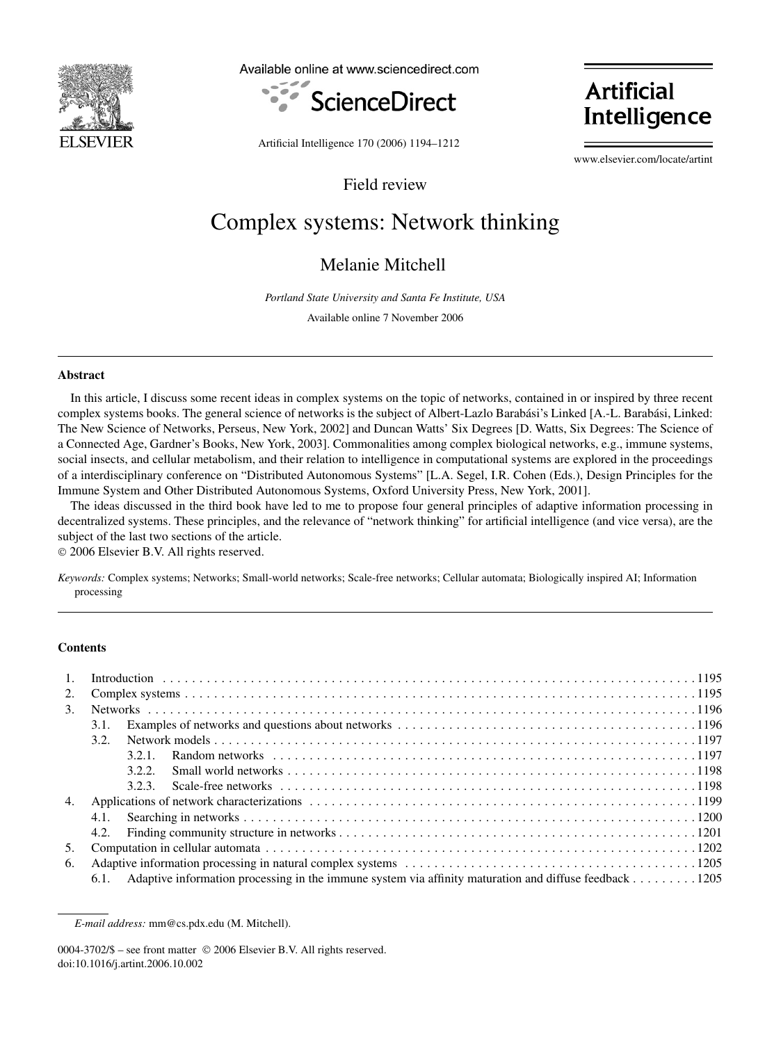

Available online at www.sciencedirect.com



**Artificial** Intelligence

Artificial Intelligence 170 (2006) 1194–1212

www.elsevier.com/locate/artint

Field review

# Complex systems: Network thinking

# Melanie Mitchell

*Portland State University and Santa Fe Institute, USA*

Available online 7 November 2006

#### **Abstract**

In this article, I discuss some recent ideas in complex systems on the topic of networks, contained in or inspired by three recent complex systems books. The general science of networks is the subject of Albert-Lazlo Barabási's Linked [A.-L. Barabási, Linked: The New Science of Networks, Perseus, New York, 2002] and Duncan Watts' Six Degrees [D. Watts, Six Degrees: The Science of a Connected Age, Gardner's Books, New York, 2003]. Commonalities among complex biological networks, e.g., immune systems, social insects, and cellular metabolism, and their relation to intelligence in computational systems are explored in the proceedings of a interdisciplinary conference on "Distributed Autonomous Systems" [L.A. Segel, I.R. Cohen (Eds.), Design Principles for the Immune System and Other Distributed Autonomous Systems, Oxford University Press, New York, 2001].

The ideas discussed in the third book have led to me to propose four general principles of adaptive information processing in decentralized systems. These principles, and the relevance of "network thinking" for artificial intelligence (and vice versa), are the subject of the last two sections of the article.

© 2006 Elsevier B.V. All rights reserved.

*Keywords:* Complex systems; Networks; Small-world networks; Scale-free networks; Cellular automata; Biologically inspired AI; Information processing

# **Contents**

| 2.             |                                                                                                             |     |  |  |  |  |
|----------------|-------------------------------------------------------------------------------------------------------------|-----|--|--|--|--|
| $\mathbf{3}$ . |                                                                                                             |     |  |  |  |  |
|                | 3.1.                                                                                                        |     |  |  |  |  |
|                | 3.2                                                                                                         |     |  |  |  |  |
|                |                                                                                                             | 321 |  |  |  |  |
|                |                                                                                                             | 322 |  |  |  |  |
|                |                                                                                                             |     |  |  |  |  |
| 4.             |                                                                                                             |     |  |  |  |  |
|                | 4.1.                                                                                                        |     |  |  |  |  |
|                |                                                                                                             |     |  |  |  |  |
|                |                                                                                                             |     |  |  |  |  |
| 6.             |                                                                                                             |     |  |  |  |  |
|                | 6.1. Adaptive information processing in the immune system via affinity maturation and diffuse feedback 1205 |     |  |  |  |  |

*E-mail address:* mm@cs.pdx.edu (M. Mitchell).

<sup>0004-3702/\$ –</sup> see front matter © 2006 Elsevier B.V. All rights reserved. doi:10.1016/j.artint.2006.10.002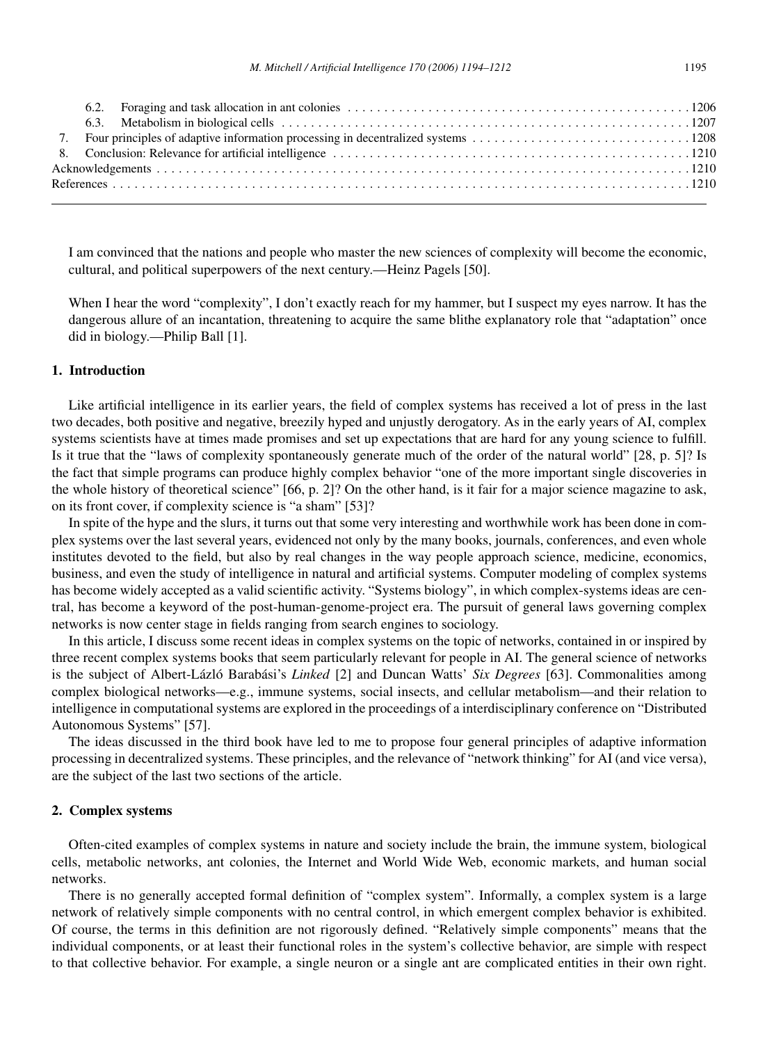I am convinced that the nations and people who master the new sciences of complexity will become the economic, cultural, and political superpowers of the next century.—Heinz Pagels [50].

When I hear the word "complexity", I don't exactly reach for my hammer, but I suspect my eyes narrow. It has the dangerous allure of an incantation, threatening to acquire the same blithe explanatory role that "adaptation" once did in biology.—Philip Ball [1].

#### **1. Introduction**

Like artificial intelligence in its earlier years, the field of complex systems has received a lot of press in the last two decades, both positive and negative, breezily hyped and unjustly derogatory. As in the early years of AI, complex systems scientists have at times made promises and set up expectations that are hard for any young science to fulfill. Is it true that the "laws of complexity spontaneously generate much of the order of the natural world" [28, p. 5]? Is the fact that simple programs can produce highly complex behavior "one of the more important single discoveries in the whole history of theoretical science" [66, p. 2]? On the other hand, is it fair for a major science magazine to ask, on its front cover, if complexity science is "a sham" [53]?

In spite of the hype and the slurs, it turns out that some very interesting and worthwhile work has been done in complex systems over the last several years, evidenced not only by the many books, journals, conferences, and even whole institutes devoted to the field, but also by real changes in the way people approach science, medicine, economics, business, and even the study of intelligence in natural and artificial systems. Computer modeling of complex systems has become widely accepted as a valid scientific activity. "Systems biology", in which complex-systems ideas are central, has become a keyword of the post-human-genome-project era. The pursuit of general laws governing complex networks is now center stage in fields ranging from search engines to sociology.

In this article, I discuss some recent ideas in complex systems on the topic of networks, contained in or inspired by three recent complex systems books that seem particularly relevant for people in AI. The general science of networks is the subject of Albert-Lázló Barabási's *Linked* [2] and Duncan Watts' *Six Degrees* [63]. Commonalities among complex biological networks—e.g., immune systems, social insects, and cellular metabolism—and their relation to intelligence in computational systems are explored in the proceedings of a interdisciplinary conference on "Distributed Autonomous Systems" [57].

The ideas discussed in the third book have led to me to propose four general principles of adaptive information processing in decentralized systems. These principles, and the relevance of "network thinking" for AI (and vice versa), are the subject of the last two sections of the article.

# **2. Complex systems**

Often-cited examples of complex systems in nature and society include the brain, the immune system, biological cells, metabolic networks, ant colonies, the Internet and World Wide Web, economic markets, and human social networks.

There is no generally accepted formal definition of "complex system". Informally, a complex system is a large network of relatively simple components with no central control, in which emergent complex behavior is exhibited. Of course, the terms in this definition are not rigorously defined. "Relatively simple components" means that the individual components, or at least their functional roles in the system's collective behavior, are simple with respect to that collective behavior. For example, a single neuron or a single ant are complicated entities in their own right.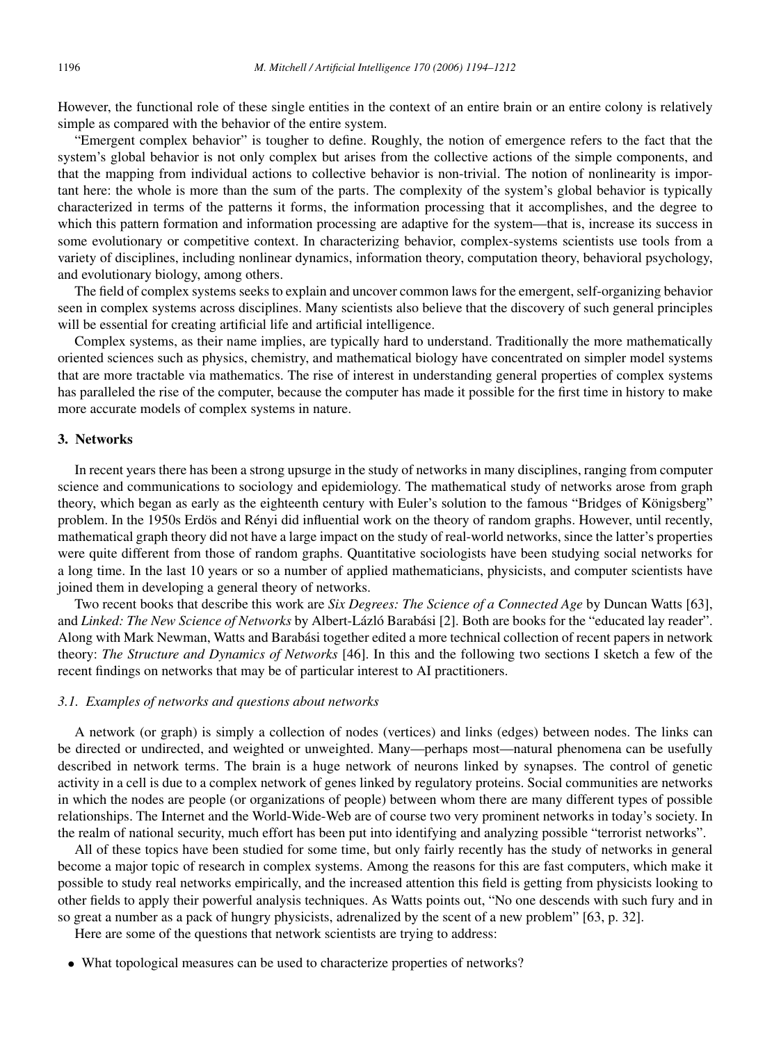However, the functional role of these single entities in the context of an entire brain or an entire colony is relatively simple as compared with the behavior of the entire system.

"Emergent complex behavior" is tougher to define. Roughly, the notion of emergence refers to the fact that the system's global behavior is not only complex but arises from the collective actions of the simple components, and that the mapping from individual actions to collective behavior is non-trivial. The notion of nonlinearity is important here: the whole is more than the sum of the parts. The complexity of the system's global behavior is typically characterized in terms of the patterns it forms, the information processing that it accomplishes, and the degree to which this pattern formation and information processing are adaptive for the system—that is, increase its success in some evolutionary or competitive context. In characterizing behavior, complex-systems scientists use tools from a variety of disciplines, including nonlinear dynamics, information theory, computation theory, behavioral psychology, and evolutionary biology, among others.

The field of complex systems seeks to explain and uncover common laws for the emergent, self-organizing behavior seen in complex systems across disciplines. Many scientists also believe that the discovery of such general principles will be essential for creating artificial life and artificial intelligence.

Complex systems, as their name implies, are typically hard to understand. Traditionally the more mathematically oriented sciences such as physics, chemistry, and mathematical biology have concentrated on simpler model systems that are more tractable via mathematics. The rise of interest in understanding general properties of complex systems has paralleled the rise of the computer, because the computer has made it possible for the first time in history to make more accurate models of complex systems in nature.

#### **3. Networks**

In recent years there has been a strong upsurge in the study of networks in many disciplines, ranging from computer science and communications to sociology and epidemiology. The mathematical study of networks arose from graph theory, which began as early as the eighteenth century with Euler's solution to the famous "Bridges of Königsberg" problem. In the 1950s Erdös and Rényi did influential work on the theory of random graphs. However, until recently, mathematical graph theory did not have a large impact on the study of real-world networks, since the latter's properties were quite different from those of random graphs. Quantitative sociologists have been studying social networks for a long time. In the last 10 years or so a number of applied mathematicians, physicists, and computer scientists have joined them in developing a general theory of networks.

Two recent books that describe this work are *Six Degrees: The Science of a Connected Age* by Duncan Watts [63], and *Linked: The New Science of Networks* by Albert-Lázló Barabási [2]. Both are books for the "educated lay reader". Along with Mark Newman, Watts and Barabási together edited a more technical collection of recent papers in network theory: *The Structure and Dynamics of Networks* [46]. In this and the following two sections I sketch a few of the recent findings on networks that may be of particular interest to AI practitioners.

#### *3.1. Examples of networks and questions about networks*

A network (or graph) is simply a collection of nodes (vertices) and links (edges) between nodes. The links can be directed or undirected, and weighted or unweighted. Many—perhaps most—natural phenomena can be usefully described in network terms. The brain is a huge network of neurons linked by synapses. The control of genetic activity in a cell is due to a complex network of genes linked by regulatory proteins. Social communities are networks in which the nodes are people (or organizations of people) between whom there are many different types of possible relationships. The Internet and the World-Wide-Web are of course two very prominent networks in today's society. In the realm of national security, much effort has been put into identifying and analyzing possible "terrorist networks".

All of these topics have been studied for some time, but only fairly recently has the study of networks in general become a major topic of research in complex systems. Among the reasons for this are fast computers, which make it possible to study real networks empirically, and the increased attention this field is getting from physicists looking to other fields to apply their powerful analysis techniques. As Watts points out, "No one descends with such fury and in so great a number as a pack of hungry physicists, adrenalized by the scent of a new problem" [63, p. 32].

Here are some of the questions that network scientists are trying to address:

• What topological measures can be used to characterize properties of networks?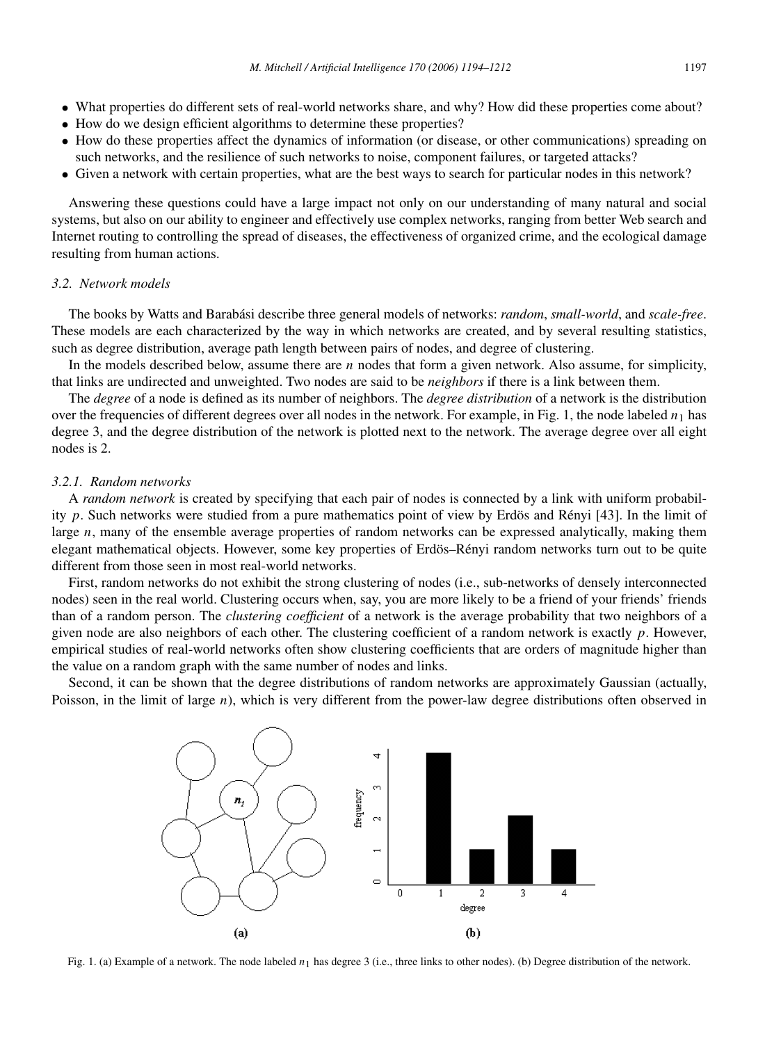- 
- What properties do different sets of real-world networks share, and why? How did these properties come about?
- How do we design efficient algorithms to determine these properties?
- How do these properties affect the dynamics of information (or disease, or other communications) spreading on such networks, and the resilience of such networks to noise, component failures, or targeted attacks?
- Given a network with certain properties, what are the best ways to search for particular nodes in this network?

Answering these questions could have a large impact not only on our understanding of many natural and social systems, but also on our ability to engineer and effectively use complex networks, ranging from better Web search and Internet routing to controlling the spread of diseases, the effectiveness of organized crime, and the ecological damage resulting from human actions.

# *3.2. Network models*

The books by Watts and Barabási describe three general models of networks: *random*, *small-world*, and *scale-free*. These models are each characterized by the way in which networks are created, and by several resulting statistics, such as degree distribution, average path length between pairs of nodes, and degree of clustering.

In the models described below, assume there are *n* nodes that form a given network. Also assume, for simplicity, that links are undirected and unweighted. Two nodes are said to be *neighbors* if there is a link between them.

The *degree* of a node is defined as its number of neighbors. The *degree distribution* of a network is the distribution over the frequencies of different degrees over all nodes in the network. For example, in Fig. 1, the node labeled  $n_1$  has degree 3, and the degree distribution of the network is plotted next to the network. The average degree over all eight nodes is 2.

#### *3.2.1. Random networks*

A *random network* is created by specifying that each pair of nodes is connected by a link with uniform probability *p*. Such networks were studied from a pure mathematics point of view by Erdös and Rényi [43]. In the limit of large *n*, many of the ensemble average properties of random networks can be expressed analytically, making them elegant mathematical objects. However, some key properties of Erdös–Rényi random networks turn out to be quite different from those seen in most real-world networks.

First, random networks do not exhibit the strong clustering of nodes (i.e., sub-networks of densely interconnected nodes) seen in the real world. Clustering occurs when, say, you are more likely to be a friend of your friends' friends than of a random person. The *clustering coefficient* of a network is the average probability that two neighbors of a given node are also neighbors of each other. The clustering coefficient of a random network is exactly *p*. However, empirical studies of real-world networks often show clustering coefficients that are orders of magnitude higher than the value on a random graph with the same number of nodes and links.

Second, it can be shown that the degree distributions of random networks are approximately Gaussian (actually, Poisson, in the limit of large *n*), which is very different from the power-law degree distributions often observed in



Fig. 1. (a) Example of a network. The node labeled  $n_1$  has degree 3 (i.e., three links to other nodes). (b) Degree distribution of the network.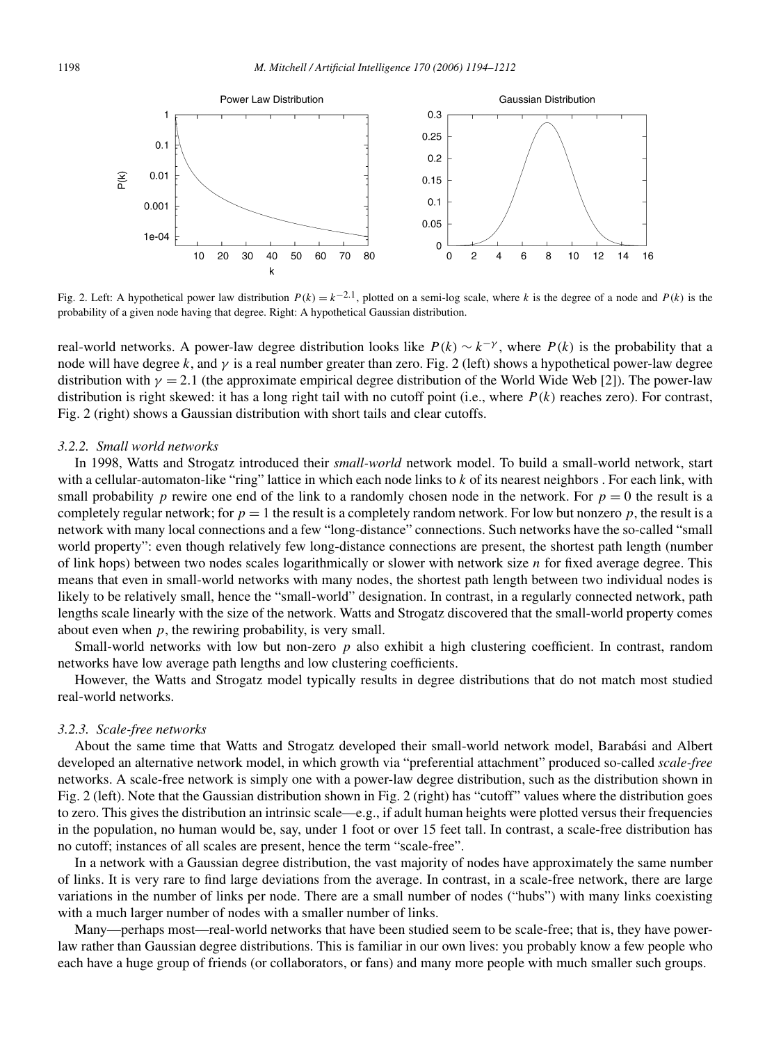

Fig. 2. Left: A hypothetical power law distribution  $P(k) = k^{-2.1}$ , plotted on a semi-log scale, where *k* is the degree of a node and  $P(k)$  is the probability of a given node having that degree. Right: A hypothetical Gaussian distribution.

real-world networks. A power-law degree distribution looks like  $P(k) \sim k^{-\gamma}$ , where  $P(k)$  is the probability that a node will have degree *k*, and *γ* is a real number greater than zero. Fig. 2 (left) shows a hypothetical power-law degree distribution with  $\gamma = 2.1$  (the approximate empirical degree distribution of the World Wide Web [2]). The power-law distribution is right skewed: it has a long right tail with no cutoff point (i.e., where *P (k)* reaches zero). For contrast, Fig. 2 (right) shows a Gaussian distribution with short tails and clear cutoffs.

#### *3.2.2. Small world networks*

In 1998, Watts and Strogatz introduced their *small-world* network model. To build a small-world network, start with a cellular-automaton-like "ring" lattice in which each node links to *k* of its nearest neighbors . For each link, with small probability *p* rewire one end of the link to a randomly chosen node in the network. For  $p = 0$  the result is a completely regular network; for  $p = 1$  the result is a completely random network. For low but nonzero p, the result is a network with many local connections and a few "long-distance" connections. Such networks have the so-called "small world property": even though relatively few long-distance connections are present, the shortest path length (number of link hops) between two nodes scales logarithmically or slower with network size *n* for fixed average degree. This means that even in small-world networks with many nodes, the shortest path length between two individual nodes is likely to be relatively small, hence the "small-world" designation. In contrast, in a regularly connected network, path lengths scale linearly with the size of the network. Watts and Strogatz discovered that the small-world property comes about even when  $p$ , the rewiring probability, is very small.

Small-world networks with low but non-zero *p* also exhibit a high clustering coefficient. In contrast, random networks have low average path lengths and low clustering coefficients.

However, the Watts and Strogatz model typically results in degree distributions that do not match most studied real-world networks.

### *3.2.3. Scale-free networks*

About the same time that Watts and Strogatz developed their small-world network model, Barabási and Albert developed an alternative network model, in which growth via "preferential attachment" produced so-called *scale-free* networks. A scale-free network is simply one with a power-law degree distribution, such as the distribution shown in Fig. 2 (left). Note that the Gaussian distribution shown in Fig. 2 (right) has "cutoff" values where the distribution goes to zero. This gives the distribution an intrinsic scale—e.g., if adult human heights were plotted versus their frequencies in the population, no human would be, say, under 1 foot or over 15 feet tall. In contrast, a scale-free distribution has no cutoff; instances of all scales are present, hence the term "scale-free".

In a network with a Gaussian degree distribution, the vast majority of nodes have approximately the same number of links. It is very rare to find large deviations from the average. In contrast, in a scale-free network, there are large variations in the number of links per node. There are a small number of nodes ("hubs") with many links coexisting with a much larger number of nodes with a smaller number of links.

Many—perhaps most—real-world networks that have been studied seem to be scale-free; that is, they have powerlaw rather than Gaussian degree distributions. This is familiar in our own lives: you probably know a few people who each have a huge group of friends (or collaborators, or fans) and many more people with much smaller such groups.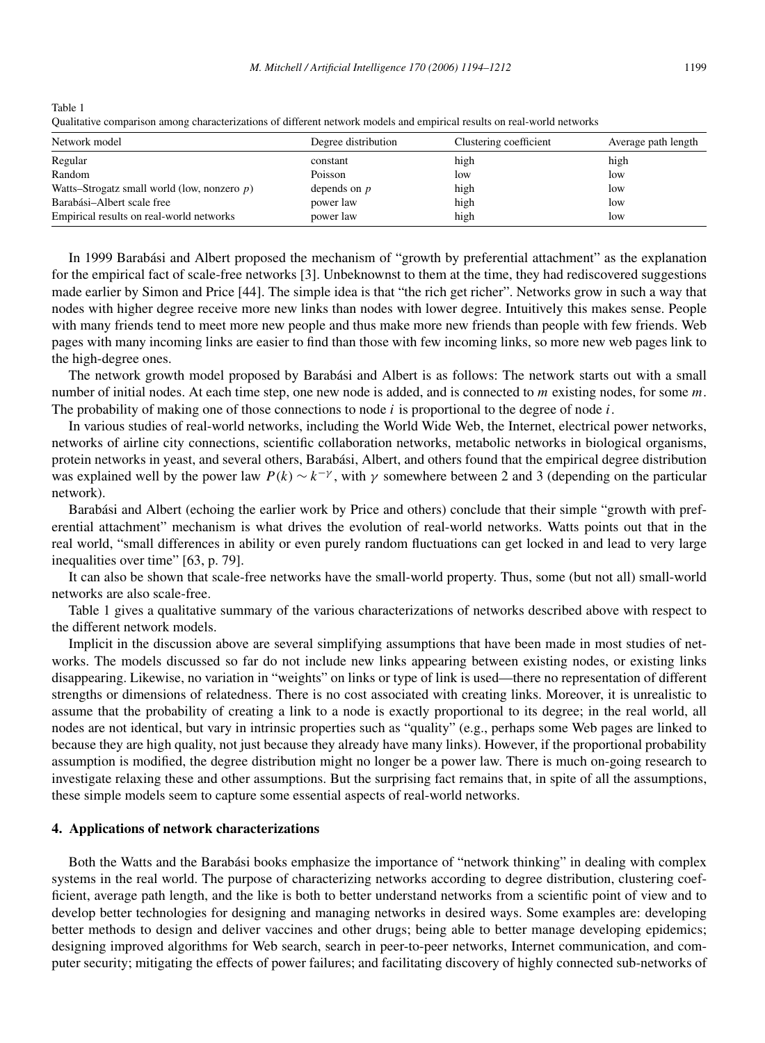| guarante comparison anong characterizations or unferent need one include and comprison on real distribution |                     |                        |                     |  |  |  |  |
|-------------------------------------------------------------------------------------------------------------|---------------------|------------------------|---------------------|--|--|--|--|
| Network model                                                                                               | Degree distribution | Clustering coefficient | Average path length |  |  |  |  |
| Regular                                                                                                     | constant            | high                   | high                |  |  |  |  |
| Random                                                                                                      | Poisson             | low                    | low                 |  |  |  |  |
| Watts-Strogatz small world (low, nonzero $p$ )                                                              | depends on $p$      | high                   | low                 |  |  |  |  |
| Barabási–Albert scale free                                                                                  | power law           | high                   | low                 |  |  |  |  |
| Empirical results on real-world networks                                                                    | power law           | high                   | low                 |  |  |  |  |

Qualitative comparison among characterizations of different network models and empirical results on real-world networks

Table 1

In 1999 Barabási and Albert proposed the mechanism of "growth by preferential attachment" as the explanation for the empirical fact of scale-free networks [3]. Unbeknownst to them at the time, they had rediscovered suggestions made earlier by Simon and Price [44]. The simple idea is that "the rich get richer". Networks grow in such a way that nodes with higher degree receive more new links than nodes with lower degree. Intuitively this makes sense. People with many friends tend to meet more new people and thus make more new friends than people with few friends. Web pages with many incoming links are easier to find than those with few incoming links, so more new web pages link to the high-degree ones.

The network growth model proposed by Barabási and Albert is as follows: The network starts out with a small number of initial nodes. At each time step, one new node is added, and is connected to *m* existing nodes, for some *m*. The probability of making one of those connections to node *i* is proportional to the degree of node *i*.

In various studies of real-world networks, including the World Wide Web, the Internet, electrical power networks, networks of airline city connections, scientific collaboration networks, metabolic networks in biological organisms, protein networks in yeast, and several others, Barabási, Albert, and others found that the empirical degree distribution was explained well by the power law  $P(k) \sim k^{-\gamma}$ , with  $\gamma$  somewhere between 2 and 3 (depending on the particular network).

Barabási and Albert (echoing the earlier work by Price and others) conclude that their simple "growth with preferential attachment" mechanism is what drives the evolution of real-world networks. Watts points out that in the real world, "small differences in ability or even purely random fluctuations can get locked in and lead to very large inequalities over time" [63, p. 79].

It can also be shown that scale-free networks have the small-world property. Thus, some (but not all) small-world networks are also scale-free.

Table 1 gives a qualitative summary of the various characterizations of networks described above with respect to the different network models.

Implicit in the discussion above are several simplifying assumptions that have been made in most studies of networks. The models discussed so far do not include new links appearing between existing nodes, or existing links disappearing. Likewise, no variation in "weights" on links or type of link is used—there no representation of different strengths or dimensions of relatedness. There is no cost associated with creating links. Moreover, it is unrealistic to assume that the probability of creating a link to a node is exactly proportional to its degree; in the real world, all nodes are not identical, but vary in intrinsic properties such as "quality" (e.g., perhaps some Web pages are linked to because they are high quality, not just because they already have many links). However, if the proportional probability assumption is modified, the degree distribution might no longer be a power law. There is much on-going research to investigate relaxing these and other assumptions. But the surprising fact remains that, in spite of all the assumptions, these simple models seem to capture some essential aspects of real-world networks.

#### **4. Applications of network characterizations**

Both the Watts and the Barabási books emphasize the importance of "network thinking" in dealing with complex systems in the real world. The purpose of characterizing networks according to degree distribution, clustering coefficient, average path length, and the like is both to better understand networks from a scientific point of view and to develop better technologies for designing and managing networks in desired ways. Some examples are: developing better methods to design and deliver vaccines and other drugs; being able to better manage developing epidemics; designing improved algorithms for Web search, search in peer-to-peer networks, Internet communication, and computer security; mitigating the effects of power failures; and facilitating discovery of highly connected sub-networks of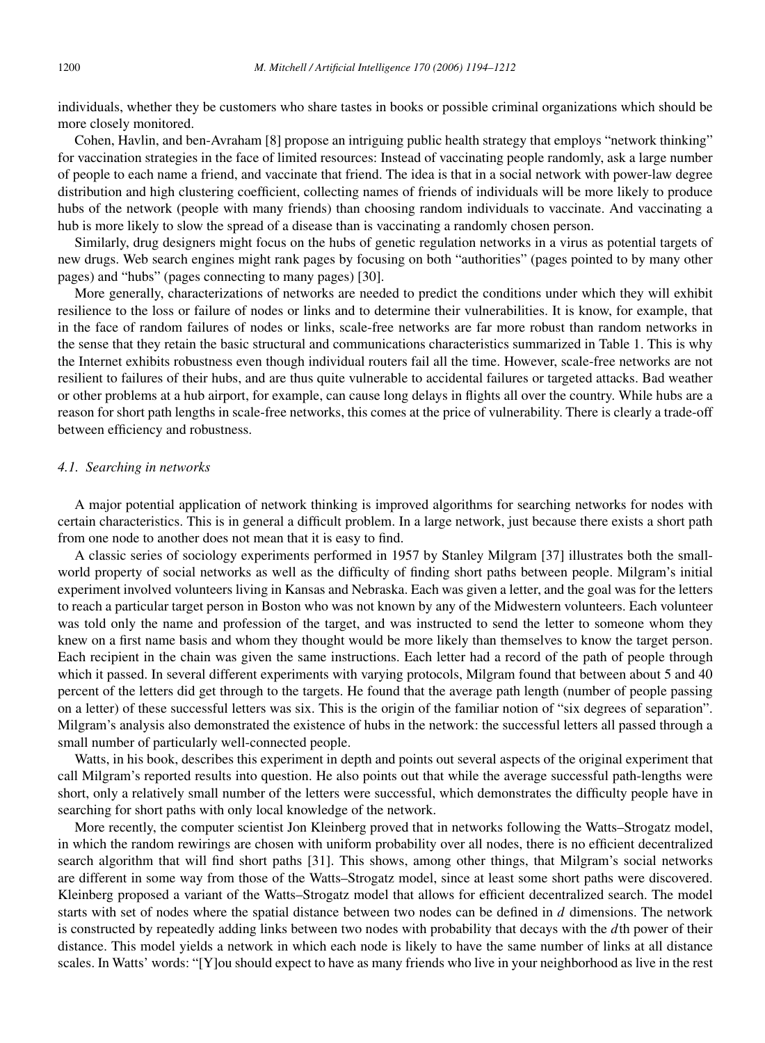individuals, whether they be customers who share tastes in books or possible criminal organizations which should be more closely monitored.

Cohen, Havlin, and ben-Avraham [8] propose an intriguing public health strategy that employs "network thinking" for vaccination strategies in the face of limited resources: Instead of vaccinating people randomly, ask a large number of people to each name a friend, and vaccinate that friend. The idea is that in a social network with power-law degree distribution and high clustering coefficient, collecting names of friends of individuals will be more likely to produce hubs of the network (people with many friends) than choosing random individuals to vaccinate. And vaccinating a hub is more likely to slow the spread of a disease than is vaccinating a randomly chosen person.

Similarly, drug designers might focus on the hubs of genetic regulation networks in a virus as potential targets of new drugs. Web search engines might rank pages by focusing on both "authorities" (pages pointed to by many other pages) and "hubs" (pages connecting to many pages) [30].

More generally, characterizations of networks are needed to predict the conditions under which they will exhibit resilience to the loss or failure of nodes or links and to determine their vulnerabilities. It is know, for example, that in the face of random failures of nodes or links, scale-free networks are far more robust than random networks in the sense that they retain the basic structural and communications characteristics summarized in Table 1. This is why the Internet exhibits robustness even though individual routers fail all the time. However, scale-free networks are not resilient to failures of their hubs, and are thus quite vulnerable to accidental failures or targeted attacks. Bad weather or other problems at a hub airport, for example, can cause long delays in flights all over the country. While hubs are a reason for short path lengths in scale-free networks, this comes at the price of vulnerability. There is clearly a trade-off between efficiency and robustness.

#### *4.1. Searching in networks*

A major potential application of network thinking is improved algorithms for searching networks for nodes with certain characteristics. This is in general a difficult problem. In a large network, just because there exists a short path from one node to another does not mean that it is easy to find.

A classic series of sociology experiments performed in 1957 by Stanley Milgram [37] illustrates both the smallworld property of social networks as well as the difficulty of finding short paths between people. Milgram's initial experiment involved volunteers living in Kansas and Nebraska. Each was given a letter, and the goal was for the letters to reach a particular target person in Boston who was not known by any of the Midwestern volunteers. Each volunteer was told only the name and profession of the target, and was instructed to send the letter to someone whom they knew on a first name basis and whom they thought would be more likely than themselves to know the target person. Each recipient in the chain was given the same instructions. Each letter had a record of the path of people through which it passed. In several different experiments with varying protocols, Milgram found that between about 5 and 40 percent of the letters did get through to the targets. He found that the average path length (number of people passing on a letter) of these successful letters was six. This is the origin of the familiar notion of "six degrees of separation". Milgram's analysis also demonstrated the existence of hubs in the network: the successful letters all passed through a small number of particularly well-connected people.

Watts, in his book, describes this experiment in depth and points out several aspects of the original experiment that call Milgram's reported results into question. He also points out that while the average successful path-lengths were short, only a relatively small number of the letters were successful, which demonstrates the difficulty people have in searching for short paths with only local knowledge of the network.

More recently, the computer scientist Jon Kleinberg proved that in networks following the Watts–Strogatz model, in which the random rewirings are chosen with uniform probability over all nodes, there is no efficient decentralized search algorithm that will find short paths [31]. This shows, among other things, that Milgram's social networks are different in some way from those of the Watts–Strogatz model, since at least some short paths were discovered. Kleinberg proposed a variant of the Watts–Strogatz model that allows for efficient decentralized search. The model starts with set of nodes where the spatial distance between two nodes can be defined in *d* dimensions. The network is constructed by repeatedly adding links between two nodes with probability that decays with the *d*th power of their distance. This model yields a network in which each node is likely to have the same number of links at all distance scales. In Watts' words: "[Y]ou should expect to have as many friends who live in your neighborhood as live in the rest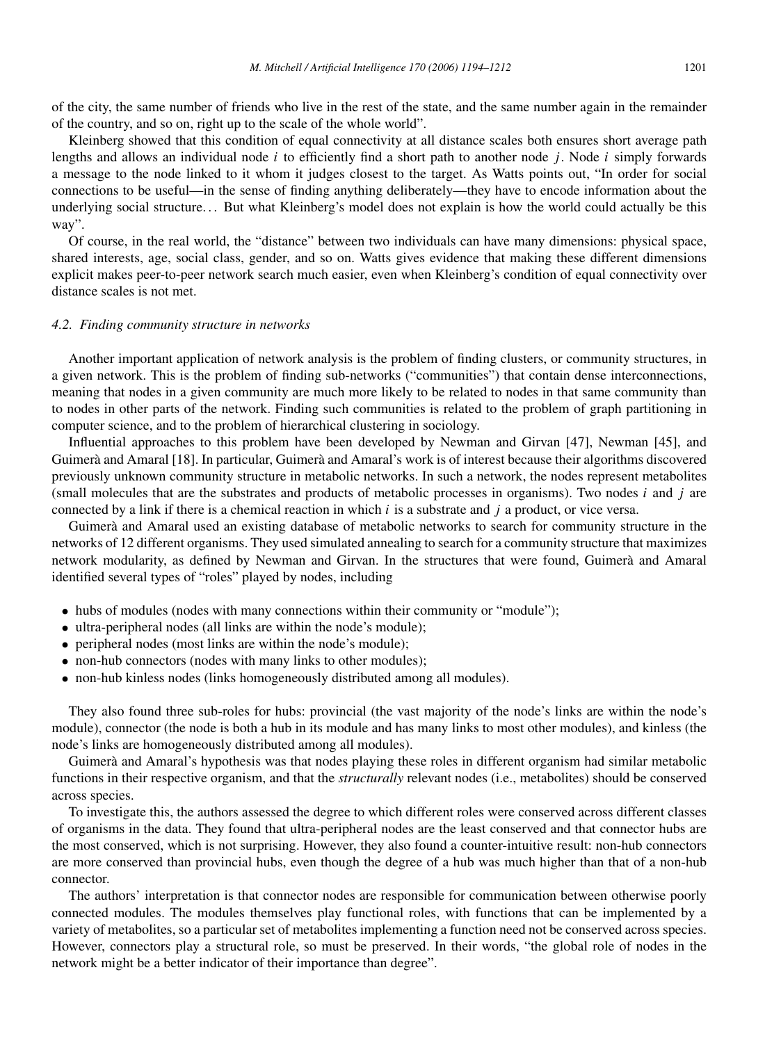of the city, the same number of friends who live in the rest of the state, and the same number again in the remainder of the country, and so on, right up to the scale of the whole world".

Kleinberg showed that this condition of equal connectivity at all distance scales both ensures short average path lengths and allows an individual node *i* to efficiently find a short path to another node *j* . Node *i* simply forwards a message to the node linked to it whom it judges closest to the target. As Watts points out, "In order for social connections to be useful—in the sense of finding anything deliberately—they have to encode information about the underlying social structure... But what Kleinberg's model does not explain is how the world could actually be this way".

Of course, in the real world, the "distance" between two individuals can have many dimensions: physical space, shared interests, age, social class, gender, and so on. Watts gives evidence that making these different dimensions explicit makes peer-to-peer network search much easier, even when Kleinberg's condition of equal connectivity over distance scales is not met.

#### *4.2. Finding community structure in networks*

Another important application of network analysis is the problem of finding clusters, or community structures, in a given network. This is the problem of finding sub-networks ("communities") that contain dense interconnections, meaning that nodes in a given community are much more likely to be related to nodes in that same community than to nodes in other parts of the network. Finding such communities is related to the problem of graph partitioning in computer science, and to the problem of hierarchical clustering in sociology.

Influential approaches to this problem have been developed by Newman and Girvan [47], Newman [45], and Guimerà and Amaral [18]. In particular, Guimerà and Amaral's work is of interest because their algorithms discovered previously unknown community structure in metabolic networks. In such a network, the nodes represent metabolites (small molecules that are the substrates and products of metabolic processes in organisms). Two nodes *i* and *j* are connected by a link if there is a chemical reaction in which *i* is a substrate and *j* a product, or vice versa.

Guimerà and Amaral used an existing database of metabolic networks to search for community structure in the networks of 12 different organisms. They used simulated annealing to search for a community structure that maximizes network modularity, as defined by Newman and Girvan. In the structures that were found, Guimerà and Amaral identified several types of "roles" played by nodes, including

- hubs of modules (nodes with many connections within their community or "module");
- ultra-peripheral nodes (all links are within the node's module);
- peripheral nodes (most links are within the node's module);
- non-hub connectors (nodes with many links to other modules);
- non-hub kinless nodes (links homogeneously distributed among all modules).

They also found three sub-roles for hubs: provincial (the vast majority of the node's links are within the node's module), connector (the node is both a hub in its module and has many links to most other modules), and kinless (the node's links are homogeneously distributed among all modules).

Guimerà and Amaral's hypothesis was that nodes playing these roles in different organism had similar metabolic functions in their respective organism, and that the *structurally* relevant nodes (i.e., metabolites) should be conserved across species.

To investigate this, the authors assessed the degree to which different roles were conserved across different classes of organisms in the data. They found that ultra-peripheral nodes are the least conserved and that connector hubs are the most conserved, which is not surprising. However, they also found a counter-intuitive result: non-hub connectors are more conserved than provincial hubs, even though the degree of a hub was much higher than that of a non-hub connector.

The authors' interpretation is that connector nodes are responsible for communication between otherwise poorly connected modules. The modules themselves play functional roles, with functions that can be implemented by a variety of metabolites, so a particular set of metabolites implementing a function need not be conserved across species. However, connectors play a structural role, so must be preserved. In their words, "the global role of nodes in the network might be a better indicator of their importance than degree".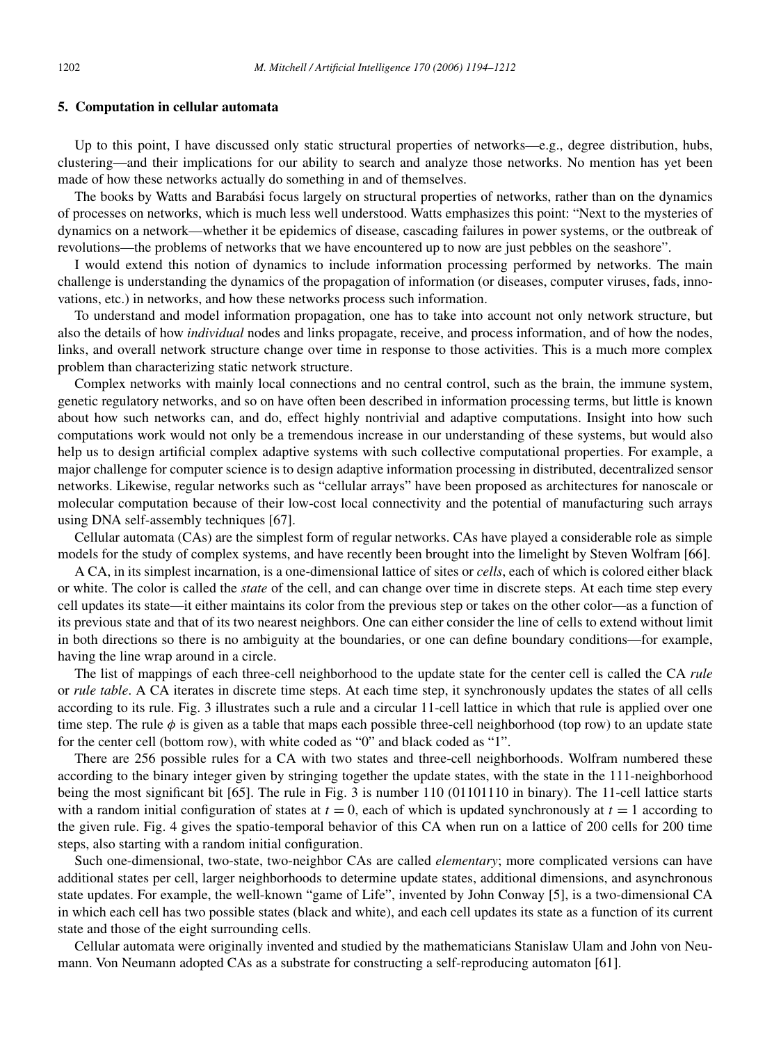#### **5. Computation in cellular automata**

Up to this point, I have discussed only static structural properties of networks—e.g., degree distribution, hubs, clustering—and their implications for our ability to search and analyze those networks. No mention has yet been made of how these networks actually do something in and of themselves.

The books by Watts and Barabási focus largely on structural properties of networks, rather than on the dynamics of processes on networks, which is much less well understood. Watts emphasizes this point: "Next to the mysteries of dynamics on a network—whether it be epidemics of disease, cascading failures in power systems, or the outbreak of revolutions—the problems of networks that we have encountered up to now are just pebbles on the seashore".

I would extend this notion of dynamics to include information processing performed by networks. The main challenge is understanding the dynamics of the propagation of information (or diseases, computer viruses, fads, innovations, etc.) in networks, and how these networks process such information.

To understand and model information propagation, one has to take into account not only network structure, but also the details of how *individual* nodes and links propagate, receive, and process information, and of how the nodes, links, and overall network structure change over time in response to those activities. This is a much more complex problem than characterizing static network structure.

Complex networks with mainly local connections and no central control, such as the brain, the immune system, genetic regulatory networks, and so on have often been described in information processing terms, but little is known about how such networks can, and do, effect highly nontrivial and adaptive computations. Insight into how such computations work would not only be a tremendous increase in our understanding of these systems, but would also help us to design artificial complex adaptive systems with such collective computational properties. For example, a major challenge for computer science is to design adaptive information processing in distributed, decentralized sensor networks. Likewise, regular networks such as "cellular arrays" have been proposed as architectures for nanoscale or molecular computation because of their low-cost local connectivity and the potential of manufacturing such arrays using DNA self-assembly techniques [67].

Cellular automata (CAs) are the simplest form of regular networks. CAs have played a considerable role as simple models for the study of complex systems, and have recently been brought into the limelight by Steven Wolfram [66].

A CA, in its simplest incarnation, is a one-dimensional lattice of sites or *cells*, each of which is colored either black or white. The color is called the *state* of the cell, and can change over time in discrete steps. At each time step every cell updates its state—it either maintains its color from the previous step or takes on the other color—as a function of its previous state and that of its two nearest neighbors. One can either consider the line of cells to extend without limit in both directions so there is no ambiguity at the boundaries, or one can define boundary conditions—for example, having the line wrap around in a circle.

The list of mappings of each three-cell neighborhood to the update state for the center cell is called the CA *rule* or *rule table*. A CA iterates in discrete time steps. At each time step, it synchronously updates the states of all cells according to its rule. Fig. 3 illustrates such a rule and a circular 11-cell lattice in which that rule is applied over one time step. The rule *φ* is given as a table that maps each possible three-cell neighborhood (top row) to an update state for the center cell (bottom row), with white coded as "0" and black coded as "1".

There are 256 possible rules for a CA with two states and three-cell neighborhoods. Wolfram numbered these according to the binary integer given by stringing together the update states, with the state in the 111-neighborhood being the most significant bit [65]. The rule in Fig. 3 is number 110 (01101110 in binary). The 11-cell lattice starts with a random initial configuration of states at  $t = 0$ , each of which is updated synchronously at  $t = 1$  according to the given rule. Fig. 4 gives the spatio-temporal behavior of this CA when run on a lattice of 200 cells for 200 time steps, also starting with a random initial configuration.

Such one-dimensional, two-state, two-neighbor CAs are called *elementary*; more complicated versions can have additional states per cell, larger neighborhoods to determine update states, additional dimensions, and asynchronous state updates. For example, the well-known "game of Life", invented by John Conway [5], is a two-dimensional CA in which each cell has two possible states (black and white), and each cell updates its state as a function of its current state and those of the eight surrounding cells.

Cellular automata were originally invented and studied by the mathematicians Stanislaw Ulam and John von Neumann. Von Neumann adopted CAs as a substrate for constructing a self-reproducing automaton [61].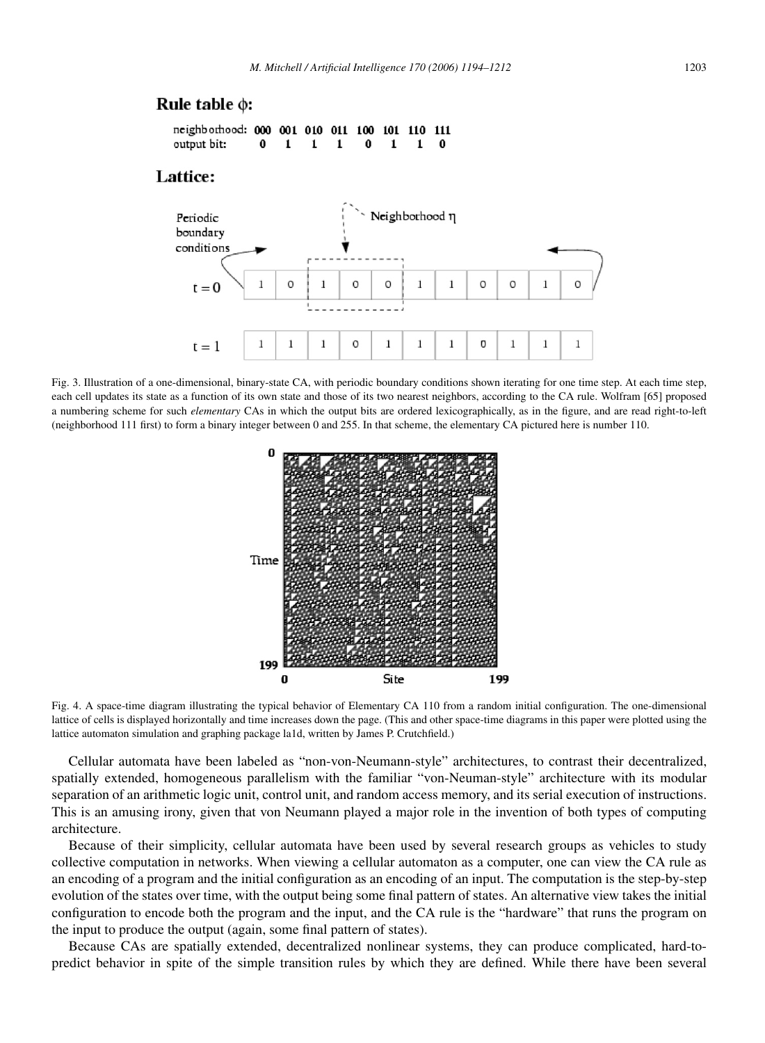### Rule table  $\phi$ :

| neighbothood: 000 001 010 011 100 101 110 111 |  |  |                 |  |  |
|-----------------------------------------------|--|--|-----------------|--|--|
| output bit:                                   |  |  | 0 1 1 1 0 1 1 0 |  |  |

Lattice:



Fig. 3. Illustration of a one-dimensional, binary-state CA, with periodic boundary conditions shown iterating for one time step. At each time step, each cell updates its state as a function of its own state and those of its two nearest neighbors, according to the CA rule. Wolfram [65] proposed a numbering scheme for such *elementary* CAs in which the output bits are ordered lexicographically, as in the figure, and are read right-to-left (neighborhood 111 first) to form a binary integer between 0 and 255. In that scheme, the elementary CA pictured here is number 110.



Fig. 4. A space-time diagram illustrating the typical behavior of Elementary CA 110 from a random initial configuration. The one-dimensional lattice of cells is displayed horizontally and time increases down the page. (This and other space-time diagrams in this paper were plotted using the lattice automaton simulation and graphing package la1d, written by James P. Crutchfield.)

Cellular automata have been labeled as "non-von-Neumann-style" architectures, to contrast their decentralized, spatially extended, homogeneous parallelism with the familiar "von-Neuman-style" architecture with its modular separation of an arithmetic logic unit, control unit, and random access memory, and its serial execution of instructions. This is an amusing irony, given that von Neumann played a major role in the invention of both types of computing architecture.

Because of their simplicity, cellular automata have been used by several research groups as vehicles to study collective computation in networks. When viewing a cellular automaton as a computer, one can view the CA rule as an encoding of a program and the initial configuration as an encoding of an input. The computation is the step-by-step evolution of the states over time, with the output being some final pattern of states. An alternative view takes the initial configuration to encode both the program and the input, and the CA rule is the "hardware" that runs the program on the input to produce the output (again, some final pattern of states).

Because CAs are spatially extended, decentralized nonlinear systems, they can produce complicated, hard-topredict behavior in spite of the simple transition rules by which they are defined. While there have been several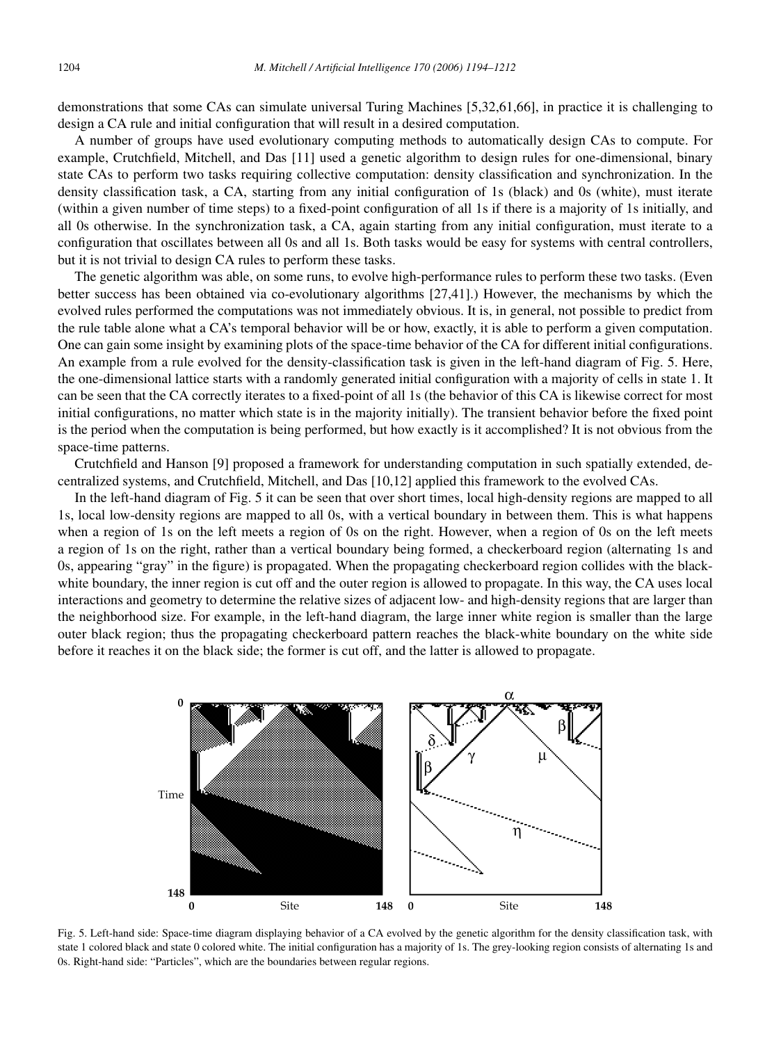demonstrations that some CAs can simulate universal Turing Machines [5,32,61,66], in practice it is challenging to design a CA rule and initial configuration that will result in a desired computation.

A number of groups have used evolutionary computing methods to automatically design CAs to compute. For example, Crutchfield, Mitchell, and Das [11] used a genetic algorithm to design rules for one-dimensional, binary state CAs to perform two tasks requiring collective computation: density classification and synchronization. In the density classification task, a CA, starting from any initial configuration of 1s (black) and 0s (white), must iterate (within a given number of time steps) to a fixed-point configuration of all 1s if there is a majority of 1s initially, and all 0s otherwise. In the synchronization task, a CA, again starting from any initial configuration, must iterate to a configuration that oscillates between all 0s and all 1s. Both tasks would be easy for systems with central controllers, but it is not trivial to design CA rules to perform these tasks.

The genetic algorithm was able, on some runs, to evolve high-performance rules to perform these two tasks. (Even better success has been obtained via co-evolutionary algorithms [27,41].) However, the mechanisms by which the evolved rules performed the computations was not immediately obvious. It is, in general, not possible to predict from the rule table alone what a CA's temporal behavior will be or how, exactly, it is able to perform a given computation. One can gain some insight by examining plots of the space-time behavior of the CA for different initial configurations. An example from a rule evolved for the density-classification task is given in the left-hand diagram of Fig. 5. Here, the one-dimensional lattice starts with a randomly generated initial configuration with a majority of cells in state 1. It can be seen that the CA correctly iterates to a fixed-point of all 1s (the behavior of this CA is likewise correct for most initial configurations, no matter which state is in the majority initially). The transient behavior before the fixed point is the period when the computation is being performed, but how exactly is it accomplished? It is not obvious from the space-time patterns.

Crutchfield and Hanson [9] proposed a framework for understanding computation in such spatially extended, decentralized systems, and Crutchfield, Mitchell, and Das [10,12] applied this framework to the evolved CAs.

In the left-hand diagram of Fig. 5 it can be seen that over short times, local high-density regions are mapped to all 1s, local low-density regions are mapped to all 0s, with a vertical boundary in between them. This is what happens when a region of 1s on the left meets a region of 0s on the right. However, when a region of 0s on the left meets a region of 1s on the right, rather than a vertical boundary being formed, a checkerboard region (alternating 1s and 0s, appearing "gray" in the figure) is propagated. When the propagating checkerboard region collides with the blackwhite boundary, the inner region is cut off and the outer region is allowed to propagate. In this way, the CA uses local interactions and geometry to determine the relative sizes of adjacent low- and high-density regions that are larger than the neighborhood size. For example, in the left-hand diagram, the large inner white region is smaller than the large outer black region; thus the propagating checkerboard pattern reaches the black-white boundary on the white side before it reaches it on the black side; the former is cut off, and the latter is allowed to propagate.



Fig. 5. Left-hand side: Space-time diagram displaying behavior of a CA evolved by the genetic algorithm for the density classification task, with state 1 colored black and state 0 colored white. The initial configuration has a majority of 1s. The grey-looking region consists of alternating 1s and 0s. Right-hand side: "Particles", which are the boundaries between regular regions.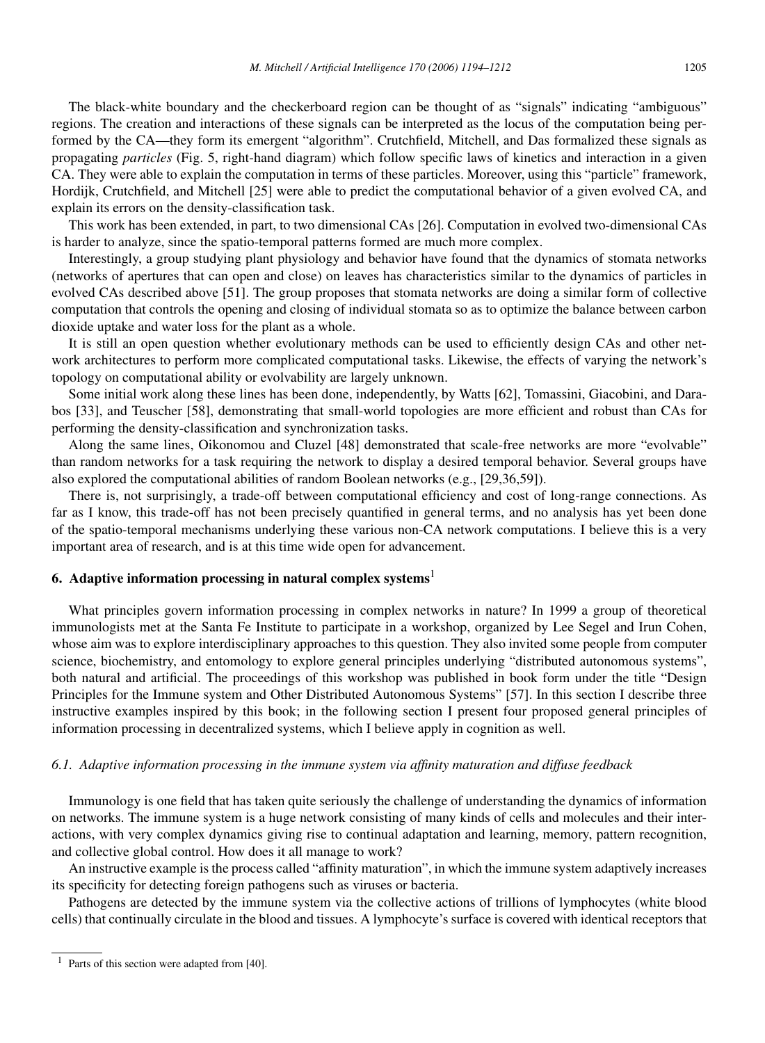The black-white boundary and the checkerboard region can be thought of as "signals" indicating "ambiguous" regions. The creation and interactions of these signals can be interpreted as the locus of the computation being performed by the CA—they form its emergent "algorithm". Crutchfield, Mitchell, and Das formalized these signals as propagating *particles* (Fig. 5, right-hand diagram) which follow specific laws of kinetics and interaction in a given CA. They were able to explain the computation in terms of these particles. Moreover, using this "particle" framework, Hordijk, Crutchfield, and Mitchell [25] were able to predict the computational behavior of a given evolved CA, and explain its errors on the density-classification task.

This work has been extended, in part, to two dimensional CAs [26]. Computation in evolved two-dimensional CAs is harder to analyze, since the spatio-temporal patterns formed are much more complex.

Interestingly, a group studying plant physiology and behavior have found that the dynamics of stomata networks (networks of apertures that can open and close) on leaves has characteristics similar to the dynamics of particles in evolved CAs described above [51]. The group proposes that stomata networks are doing a similar form of collective computation that controls the opening and closing of individual stomata so as to optimize the balance between carbon dioxide uptake and water loss for the plant as a whole.

It is still an open question whether evolutionary methods can be used to efficiently design CAs and other network architectures to perform more complicated computational tasks. Likewise, the effects of varying the network's topology on computational ability or evolvability are largely unknown.

Some initial work along these lines has been done, independently, by Watts [62], Tomassini, Giacobini, and Darabos [33], and Teuscher [58], demonstrating that small-world topologies are more efficient and robust than CAs for performing the density-classification and synchronization tasks.

Along the same lines, Oikonomou and Cluzel [48] demonstrated that scale-free networks are more "evolvable" than random networks for a task requiring the network to display a desired temporal behavior. Several groups have also explored the computational abilities of random Boolean networks (e.g., [29,36,59]).

There is, not surprisingly, a trade-off between computational efficiency and cost of long-range connections. As far as I know, this trade-off has not been precisely quantified in general terms, and no analysis has yet been done of the spatio-temporal mechanisms underlying these various non-CA network computations. I believe this is a very important area of research, and is at this time wide open for advancement.

#### **6. Adaptive information processing in natural complex systems**<sup>1</sup>

What principles govern information processing in complex networks in nature? In 1999 a group of theoretical immunologists met at the Santa Fe Institute to participate in a workshop, organized by Lee Segel and Irun Cohen, whose aim was to explore interdisciplinary approaches to this question. They also invited some people from computer science, biochemistry, and entomology to explore general principles underlying "distributed autonomous systems", both natural and artificial. The proceedings of this workshop was published in book form under the title "Design Principles for the Immune system and Other Distributed Autonomous Systems" [57]. In this section I describe three instructive examples inspired by this book; in the following section I present four proposed general principles of information processing in decentralized systems, which I believe apply in cognition as well.

# *6.1. Adaptive information processing in the immune system via affinity maturation and diffuse feedback*

Immunology is one field that has taken quite seriously the challenge of understanding the dynamics of information on networks. The immune system is a huge network consisting of many kinds of cells and molecules and their interactions, with very complex dynamics giving rise to continual adaptation and learning, memory, pattern recognition, and collective global control. How does it all manage to work?

An instructive example is the process called "affinity maturation", in which the immune system adaptively increases its specificity for detecting foreign pathogens such as viruses or bacteria.

Pathogens are detected by the immune system via the collective actions of trillions of lymphocytes (white blood cells) that continually circulate in the blood and tissues. A lymphocyte's surface is covered with identical receptors that

<sup>&</sup>lt;sup>1</sup> Parts of this section were adapted from [40].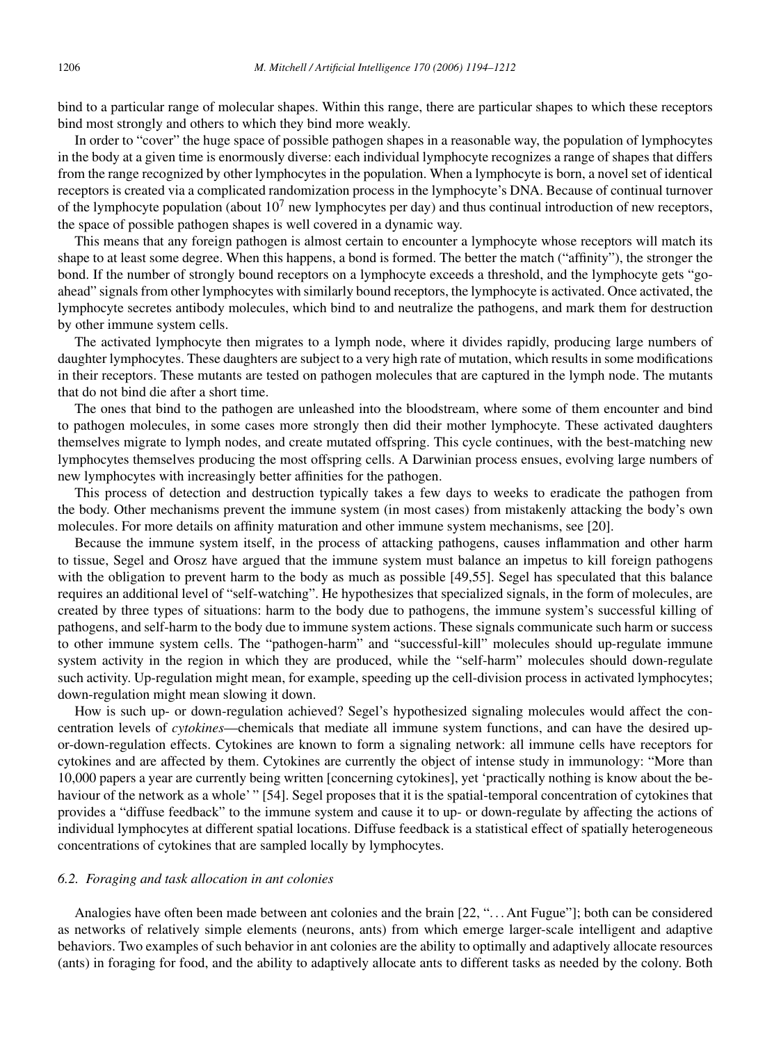bind to a particular range of molecular shapes. Within this range, there are particular shapes to which these receptors bind most strongly and others to which they bind more weakly.

In order to "cover" the huge space of possible pathogen shapes in a reasonable way, the population of lymphocytes in the body at a given time is enormously diverse: each individual lymphocyte recognizes a range of shapes that differs from the range recognized by other lymphocytes in the population. When a lymphocyte is born, a novel set of identical receptors is created via a complicated randomization process in the lymphocyte's DNA. Because of continual turnover of the lymphocyte population (about  $10<sup>7</sup>$  new lymphocytes per day) and thus continual introduction of new receptors, the space of possible pathogen shapes is well covered in a dynamic way.

This means that any foreign pathogen is almost certain to encounter a lymphocyte whose receptors will match its shape to at least some degree. When this happens, a bond is formed. The better the match ("affinity"), the stronger the bond. If the number of strongly bound receptors on a lymphocyte exceeds a threshold, and the lymphocyte gets "goahead" signals from other lymphocytes with similarly bound receptors, the lymphocyte is activated. Once activated, the lymphocyte secretes antibody molecules, which bind to and neutralize the pathogens, and mark them for destruction by other immune system cells.

The activated lymphocyte then migrates to a lymph node, where it divides rapidly, producing large numbers of daughter lymphocytes. These daughters are subject to a very high rate of mutation, which results in some modifications in their receptors. These mutants are tested on pathogen molecules that are captured in the lymph node. The mutants that do not bind die after a short time.

The ones that bind to the pathogen are unleashed into the bloodstream, where some of them encounter and bind to pathogen molecules, in some cases more strongly then did their mother lymphocyte. These activated daughters themselves migrate to lymph nodes, and create mutated offspring. This cycle continues, with the best-matching new lymphocytes themselves producing the most offspring cells. A Darwinian process ensues, evolving large numbers of new lymphocytes with increasingly better affinities for the pathogen.

This process of detection and destruction typically takes a few days to weeks to eradicate the pathogen from the body. Other mechanisms prevent the immune system (in most cases) from mistakenly attacking the body's own molecules. For more details on affinity maturation and other immune system mechanisms, see [20].

Because the immune system itself, in the process of attacking pathogens, causes inflammation and other harm to tissue, Segel and Orosz have argued that the immune system must balance an impetus to kill foreign pathogens with the obligation to prevent harm to the body as much as possible [49,55]. Segel has speculated that this balance requires an additional level of "self-watching". He hypothesizes that specialized signals, in the form of molecules, are created by three types of situations: harm to the body due to pathogens, the immune system's successful killing of pathogens, and self-harm to the body due to immune system actions. These signals communicate such harm or success to other immune system cells. The "pathogen-harm" and "successful-kill" molecules should up-regulate immune system activity in the region in which they are produced, while the "self-harm" molecules should down-regulate such activity. Up-regulation might mean, for example, speeding up the cell-division process in activated lymphocytes; down-regulation might mean slowing it down.

How is such up- or down-regulation achieved? Segel's hypothesized signaling molecules would affect the concentration levels of *cytokines*—chemicals that mediate all immune system functions, and can have the desired upor-down-regulation effects. Cytokines are known to form a signaling network: all immune cells have receptors for cytokines and are affected by them. Cytokines are currently the object of intense study in immunology: "More than 10,000 papers a year are currently being written [concerning cytokines], yet 'practically nothing is know about the behaviour of the network as a whole' " [54]. Segel proposes that it is the spatial-temporal concentration of cytokines that provides a "diffuse feedback" to the immune system and cause it to up- or down-regulate by affecting the actions of individual lymphocytes at different spatial locations. Diffuse feedback is a statistical effect of spatially heterogeneous concentrations of cytokines that are sampled locally by lymphocytes.

#### *6.2. Foraging and task allocation in ant colonies*

Analogies have often been made between ant colonies and the brain [22, ". . . Ant Fugue"]; both can be considered as networks of relatively simple elements (neurons, ants) from which emerge larger-scale intelligent and adaptive behaviors. Two examples of such behavior in ant colonies are the ability to optimally and adaptively allocate resources (ants) in foraging for food, and the ability to adaptively allocate ants to different tasks as needed by the colony. Both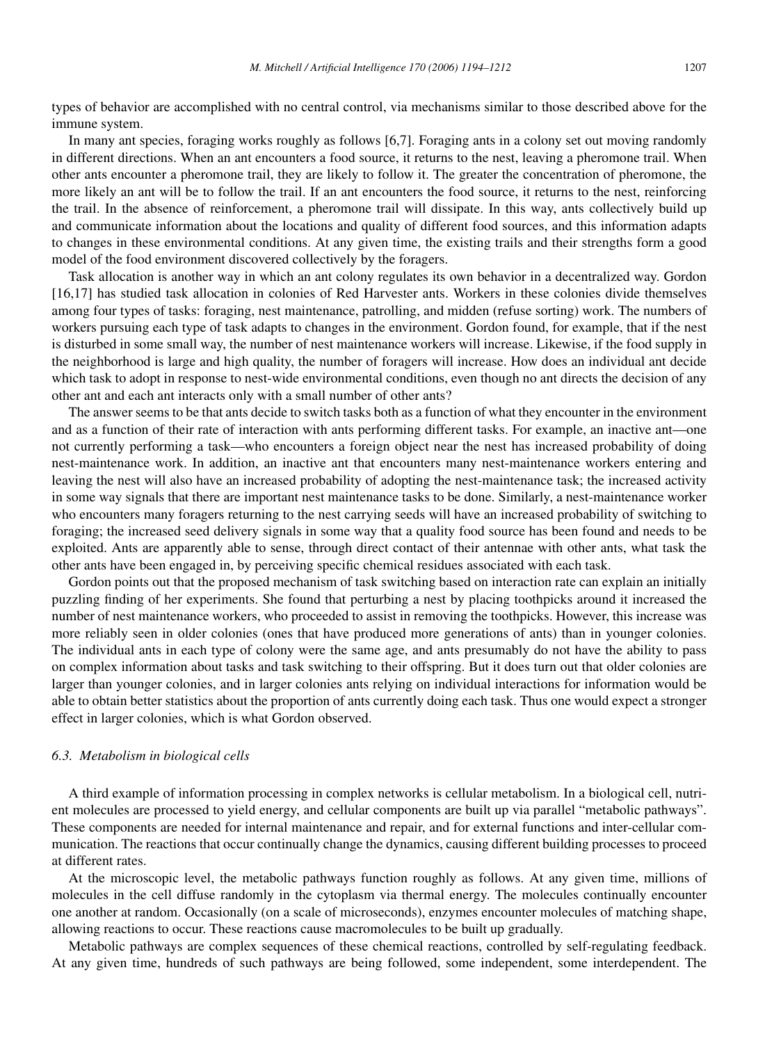types of behavior are accomplished with no central control, via mechanisms similar to those described above for the immune system.

In many ant species, foraging works roughly as follows [6,7]. Foraging ants in a colony set out moving randomly in different directions. When an ant encounters a food source, it returns to the nest, leaving a pheromone trail. When other ants encounter a pheromone trail, they are likely to follow it. The greater the concentration of pheromone, the more likely an ant will be to follow the trail. If an ant encounters the food source, it returns to the nest, reinforcing the trail. In the absence of reinforcement, a pheromone trail will dissipate. In this way, ants collectively build up and communicate information about the locations and quality of different food sources, and this information adapts to changes in these environmental conditions. At any given time, the existing trails and their strengths form a good model of the food environment discovered collectively by the foragers.

Task allocation is another way in which an ant colony regulates its own behavior in a decentralized way. Gordon [16,17] has studied task allocation in colonies of Red Harvester ants. Workers in these colonies divide themselves among four types of tasks: foraging, nest maintenance, patrolling, and midden (refuse sorting) work. The numbers of workers pursuing each type of task adapts to changes in the environment. Gordon found, for example, that if the nest is disturbed in some small way, the number of nest maintenance workers will increase. Likewise, if the food supply in the neighborhood is large and high quality, the number of foragers will increase. How does an individual ant decide which task to adopt in response to nest-wide environmental conditions, even though no ant directs the decision of any other ant and each ant interacts only with a small number of other ants?

The answer seems to be that ants decide to switch tasks both as a function of what they encounter in the environment and as a function of their rate of interaction with ants performing different tasks. For example, an inactive ant—one not currently performing a task—who encounters a foreign object near the nest has increased probability of doing nest-maintenance work. In addition, an inactive ant that encounters many nest-maintenance workers entering and leaving the nest will also have an increased probability of adopting the nest-maintenance task; the increased activity in some way signals that there are important nest maintenance tasks to be done. Similarly, a nest-maintenance worker who encounters many foragers returning to the nest carrying seeds will have an increased probability of switching to foraging; the increased seed delivery signals in some way that a quality food source has been found and needs to be exploited. Ants are apparently able to sense, through direct contact of their antennae with other ants, what task the other ants have been engaged in, by perceiving specific chemical residues associated with each task.

Gordon points out that the proposed mechanism of task switching based on interaction rate can explain an initially puzzling finding of her experiments. She found that perturbing a nest by placing toothpicks around it increased the number of nest maintenance workers, who proceeded to assist in removing the toothpicks. However, this increase was more reliably seen in older colonies (ones that have produced more generations of ants) than in younger colonies. The individual ants in each type of colony were the same age, and ants presumably do not have the ability to pass on complex information about tasks and task switching to their offspring. But it does turn out that older colonies are larger than younger colonies, and in larger colonies ants relying on individual interactions for information would be able to obtain better statistics about the proportion of ants currently doing each task. Thus one would expect a stronger effect in larger colonies, which is what Gordon observed.

#### *6.3. Metabolism in biological cells*

A third example of information processing in complex networks is cellular metabolism. In a biological cell, nutrient molecules are processed to yield energy, and cellular components are built up via parallel "metabolic pathways". These components are needed for internal maintenance and repair, and for external functions and inter-cellular communication. The reactions that occur continually change the dynamics, causing different building processes to proceed at different rates.

At the microscopic level, the metabolic pathways function roughly as follows. At any given time, millions of molecules in the cell diffuse randomly in the cytoplasm via thermal energy. The molecules continually encounter one another at random. Occasionally (on a scale of microseconds), enzymes encounter molecules of matching shape, allowing reactions to occur. These reactions cause macromolecules to be built up gradually.

Metabolic pathways are complex sequences of these chemical reactions, controlled by self-regulating feedback. At any given time, hundreds of such pathways are being followed, some independent, some interdependent. The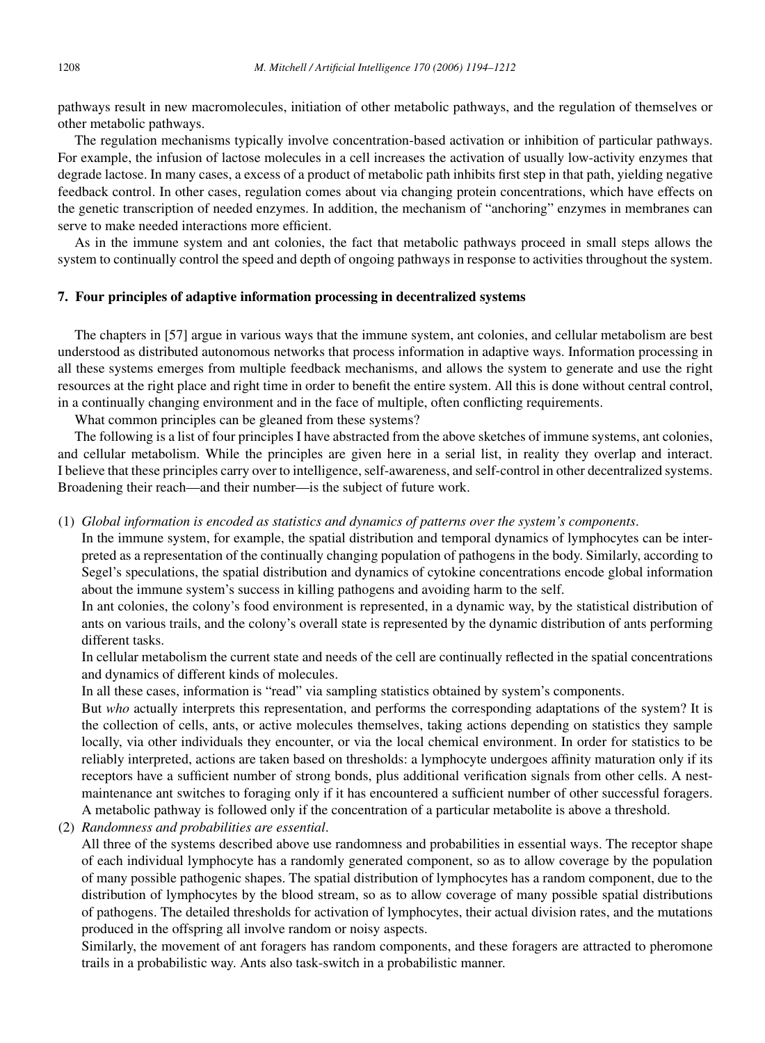pathways result in new macromolecules, initiation of other metabolic pathways, and the regulation of themselves or other metabolic pathways.

The regulation mechanisms typically involve concentration-based activation or inhibition of particular pathways. For example, the infusion of lactose molecules in a cell increases the activation of usually low-activity enzymes that degrade lactose. In many cases, a excess of a product of metabolic path inhibits first step in that path, yielding negative feedback control. In other cases, regulation comes about via changing protein concentrations, which have effects on the genetic transcription of needed enzymes. In addition, the mechanism of "anchoring" enzymes in membranes can serve to make needed interactions more efficient.

As in the immune system and ant colonies, the fact that metabolic pathways proceed in small steps allows the system to continually control the speed and depth of ongoing pathways in response to activities throughout the system.

### **7. Four principles of adaptive information processing in decentralized systems**

The chapters in [57] argue in various ways that the immune system, ant colonies, and cellular metabolism are best understood as distributed autonomous networks that process information in adaptive ways. Information processing in all these systems emerges from multiple feedback mechanisms, and allows the system to generate and use the right resources at the right place and right time in order to benefit the entire system. All this is done without central control, in a continually changing environment and in the face of multiple, often conflicting requirements.

What common principles can be gleaned from these systems?

The following is a list of four principles I have abstracted from the above sketches of immune systems, ant colonies, and cellular metabolism. While the principles are given here in a serial list, in reality they overlap and interact. I believe that these principles carry over to intelligence, self-awareness, and self-control in other decentralized systems. Broadening their reach—and their number—is the subject of future work.

(1) *Global information is encoded as statistics and dynamics of patterns over the system's components*.

In the immune system, for example, the spatial distribution and temporal dynamics of lymphocytes can be interpreted as a representation of the continually changing population of pathogens in the body. Similarly, according to Segel's speculations, the spatial distribution and dynamics of cytokine concentrations encode global information about the immune system's success in killing pathogens and avoiding harm to the self.

In ant colonies, the colony's food environment is represented, in a dynamic way, by the statistical distribution of ants on various trails, and the colony's overall state is represented by the dynamic distribution of ants performing different tasks.

In cellular metabolism the current state and needs of the cell are continually reflected in the spatial concentrations and dynamics of different kinds of molecules.

In all these cases, information is "read" via sampling statistics obtained by system's components.

But *who* actually interprets this representation, and performs the corresponding adaptations of the system? It is the collection of cells, ants, or active molecules themselves, taking actions depending on statistics they sample locally, via other individuals they encounter, or via the local chemical environment. In order for statistics to be reliably interpreted, actions are taken based on thresholds: a lymphocyte undergoes affinity maturation only if its receptors have a sufficient number of strong bonds, plus additional verification signals from other cells. A nestmaintenance ant switches to foraging only if it has encountered a sufficient number of other successful foragers. A metabolic pathway is followed only if the concentration of a particular metabolite is above a threshold.

(2) *Randomness and probabilities are essential*.

All three of the systems described above use randomness and probabilities in essential ways. The receptor shape of each individual lymphocyte has a randomly generated component, so as to allow coverage by the population of many possible pathogenic shapes. The spatial distribution of lymphocytes has a random component, due to the distribution of lymphocytes by the blood stream, so as to allow coverage of many possible spatial distributions of pathogens. The detailed thresholds for activation of lymphocytes, their actual division rates, and the mutations produced in the offspring all involve random or noisy aspects.

Similarly, the movement of ant foragers has random components, and these foragers are attracted to pheromone trails in a probabilistic way. Ants also task-switch in a probabilistic manner.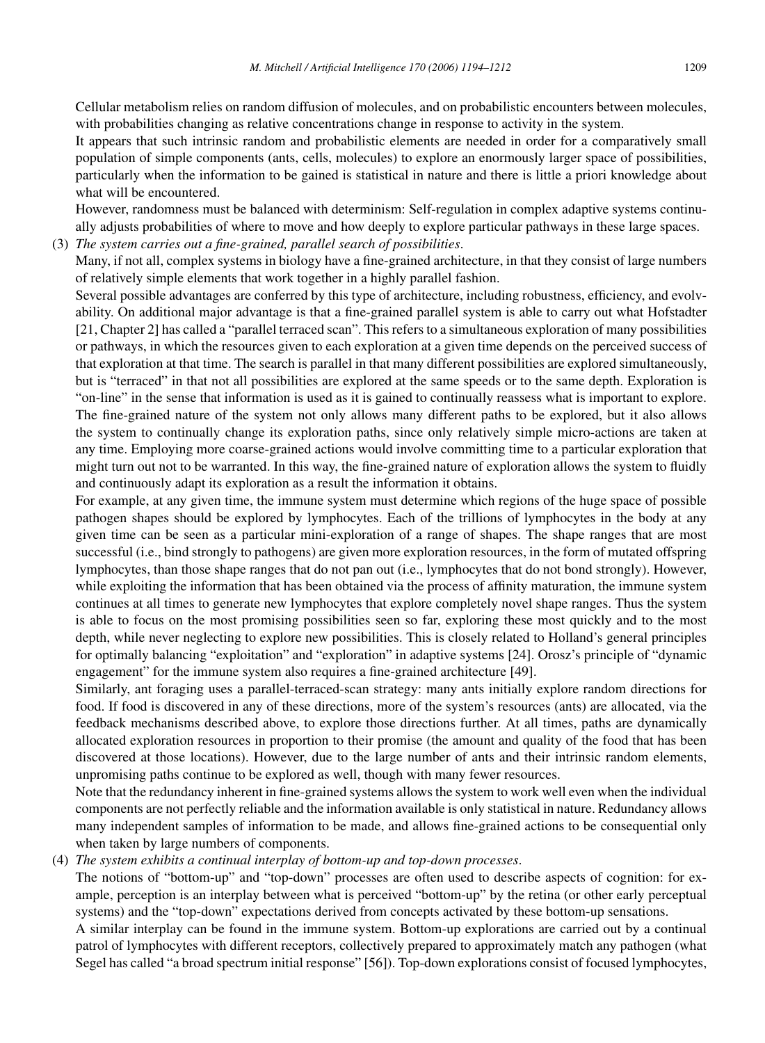Cellular metabolism relies on random diffusion of molecules, and on probabilistic encounters between molecules, with probabilities changing as relative concentrations change in response to activity in the system.

It appears that such intrinsic random and probabilistic elements are needed in order for a comparatively small population of simple components (ants, cells, molecules) to explore an enormously larger space of possibilities, particularly when the information to be gained is statistical in nature and there is little a priori knowledge about what will be encountered.

However, randomness must be balanced with determinism: Self-regulation in complex adaptive systems continually adjusts probabilities of where to move and how deeply to explore particular pathways in these large spaces. (3) *The system carries out a fine-grained, parallel search of possibilities*.

Many, if not all, complex systems in biology have a fine-grained architecture, in that they consist of large numbers of relatively simple elements that work together in a highly parallel fashion.

Several possible advantages are conferred by this type of architecture, including robustness, efficiency, and evolvability. On additional major advantage is that a fine-grained parallel system is able to carry out what Hofstadter [21, Chapter 2] has called a "parallel terraced scan". This refers to a simultaneous exploration of many possibilities or pathways, in which the resources given to each exploration at a given time depends on the perceived success of that exploration at that time. The search is parallel in that many different possibilities are explored simultaneously, but is "terraced" in that not all possibilities are explored at the same speeds or to the same depth. Exploration is "on-line" in the sense that information is used as it is gained to continually reassess what is important to explore. The fine-grained nature of the system not only allows many different paths to be explored, but it also allows the system to continually change its exploration paths, since only relatively simple micro-actions are taken at any time. Employing more coarse-grained actions would involve committing time to a particular exploration that might turn out not to be warranted. In this way, the fine-grained nature of exploration allows the system to fluidly and continuously adapt its exploration as a result the information it obtains.

For example, at any given time, the immune system must determine which regions of the huge space of possible pathogen shapes should be explored by lymphocytes. Each of the trillions of lymphocytes in the body at any given time can be seen as a particular mini-exploration of a range of shapes. The shape ranges that are most successful (i.e., bind strongly to pathogens) are given more exploration resources, in the form of mutated offspring lymphocytes, than those shape ranges that do not pan out (i.e., lymphocytes that do not bond strongly). However, while exploiting the information that has been obtained via the process of affinity maturation, the immune system continues at all times to generate new lymphocytes that explore completely novel shape ranges. Thus the system is able to focus on the most promising possibilities seen so far, exploring these most quickly and to the most depth, while never neglecting to explore new possibilities. This is closely related to Holland's general principles for optimally balancing "exploitation" and "exploration" in adaptive systems [24]. Orosz's principle of "dynamic engagement" for the immune system also requires a fine-grained architecture [49].

Similarly, ant foraging uses a parallel-terraced-scan strategy: many ants initially explore random directions for food. If food is discovered in any of these directions, more of the system's resources (ants) are allocated, via the feedback mechanisms described above, to explore those directions further. At all times, paths are dynamically allocated exploration resources in proportion to their promise (the amount and quality of the food that has been discovered at those locations). However, due to the large number of ants and their intrinsic random elements, unpromising paths continue to be explored as well, though with many fewer resources.

Note that the redundancy inherent in fine-grained systems allows the system to work well even when the individual components are not perfectly reliable and the information available is only statistical in nature. Redundancy allows many independent samples of information to be made, and allows fine-grained actions to be consequential only when taken by large numbers of components.

# (4) *The system exhibits a continual interplay of bottom-up and top-down processes*.

The notions of "bottom-up" and "top-down" processes are often used to describe aspects of cognition: for example, perception is an interplay between what is perceived "bottom-up" by the retina (or other early perceptual systems) and the "top-down" expectations derived from concepts activated by these bottom-up sensations.

A similar interplay can be found in the immune system. Bottom-up explorations are carried out by a continual patrol of lymphocytes with different receptors, collectively prepared to approximately match any pathogen (what Segel has called "a broad spectrum initial response" [56]). Top-down explorations consist of focused lymphocytes,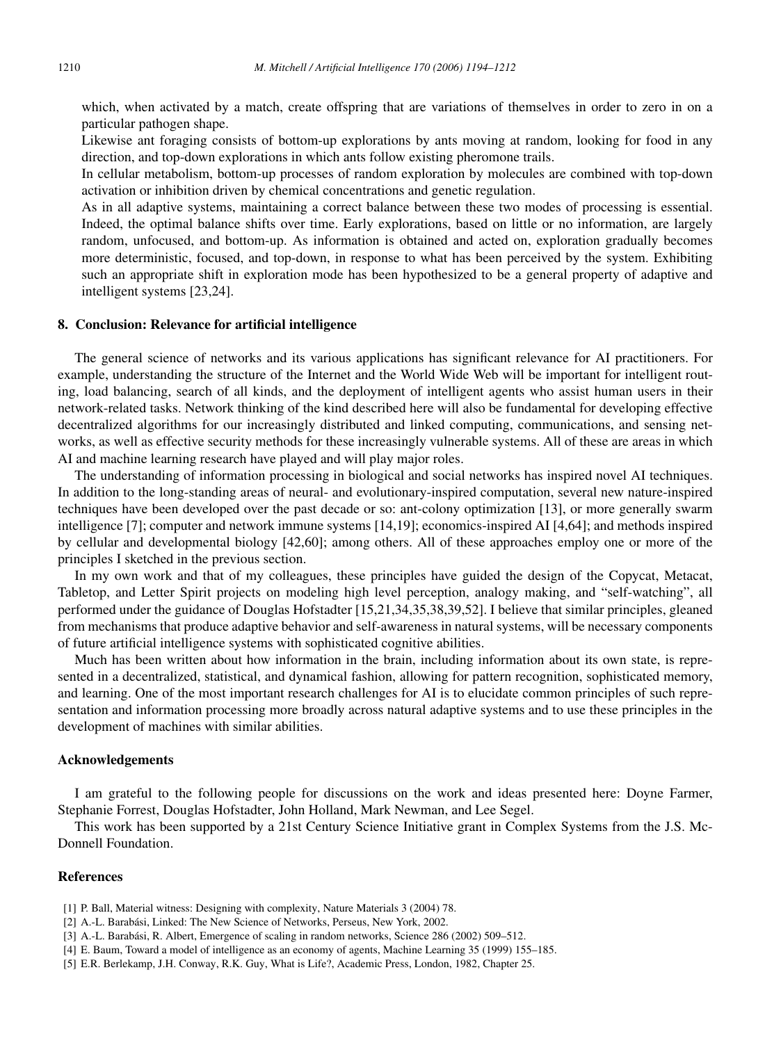which, when activated by a match, create offspring that are variations of themselves in order to zero in on a particular pathogen shape.

Likewise ant foraging consists of bottom-up explorations by ants moving at random, looking for food in any direction, and top-down explorations in which ants follow existing pheromone trails.

In cellular metabolism, bottom-up processes of random exploration by molecules are combined with top-down activation or inhibition driven by chemical concentrations and genetic regulation.

As in all adaptive systems, maintaining a correct balance between these two modes of processing is essential. Indeed, the optimal balance shifts over time. Early explorations, based on little or no information, are largely random, unfocused, and bottom-up. As information is obtained and acted on, exploration gradually becomes more deterministic, focused, and top-down, in response to what has been perceived by the system. Exhibiting such an appropriate shift in exploration mode has been hypothesized to be a general property of adaptive and intelligent systems [23,24].

# **8. Conclusion: Relevance for artificial intelligence**

The general science of networks and its various applications has significant relevance for AI practitioners. For example, understanding the structure of the Internet and the World Wide Web will be important for intelligent routing, load balancing, search of all kinds, and the deployment of intelligent agents who assist human users in their network-related tasks. Network thinking of the kind described here will also be fundamental for developing effective decentralized algorithms for our increasingly distributed and linked computing, communications, and sensing networks, as well as effective security methods for these increasingly vulnerable systems. All of these are areas in which AI and machine learning research have played and will play major roles.

The understanding of information processing in biological and social networks has inspired novel AI techniques. In addition to the long-standing areas of neural- and evolutionary-inspired computation, several new nature-inspired techniques have been developed over the past decade or so: ant-colony optimization [13], or more generally swarm intelligence [7]; computer and network immune systems [14,19]; economics-inspired AI [4,64]; and methods inspired by cellular and developmental biology [42,60]; among others. All of these approaches employ one or more of the principles I sketched in the previous section.

In my own work and that of my colleagues, these principles have guided the design of the Copycat, Metacat, Tabletop, and Letter Spirit projects on modeling high level perception, analogy making, and "self-watching", all performed under the guidance of Douglas Hofstadter [15,21,34,35,38,39,52]. I believe that similar principles, gleaned from mechanisms that produce adaptive behavior and self-awareness in natural systems, will be necessary components of future artificial intelligence systems with sophisticated cognitive abilities.

Much has been written about how information in the brain, including information about its own state, is represented in a decentralized, statistical, and dynamical fashion, allowing for pattern recognition, sophisticated memory, and learning. One of the most important research challenges for AI is to elucidate common principles of such representation and information processing more broadly across natural adaptive systems and to use these principles in the development of machines with similar abilities.

#### **Acknowledgements**

I am grateful to the following people for discussions on the work and ideas presented here: Doyne Farmer, Stephanie Forrest, Douglas Hofstadter, John Holland, Mark Newman, and Lee Segel.

This work has been supported by a 21st Century Science Initiative grant in Complex Systems from the J.S. Mc-Donnell Foundation.

#### **References**

- [1] P. Ball, Material witness: Designing with complexity, Nature Materials 3 (2004) 78.
- [2] A.-L. Barabási, Linked: The New Science of Networks, Perseus, New York, 2002.
- [3] A.-L. Barabási, R. Albert, Emergence of scaling in random networks, Science 286 (2002) 509–512.
- [4] E. Baum, Toward a model of intelligence as an economy of agents, Machine Learning 35 (1999) 155–185.
- [5] E.R. Berlekamp, J.H. Conway, R.K. Guy, What is Life?, Academic Press, London, 1982, Chapter 25.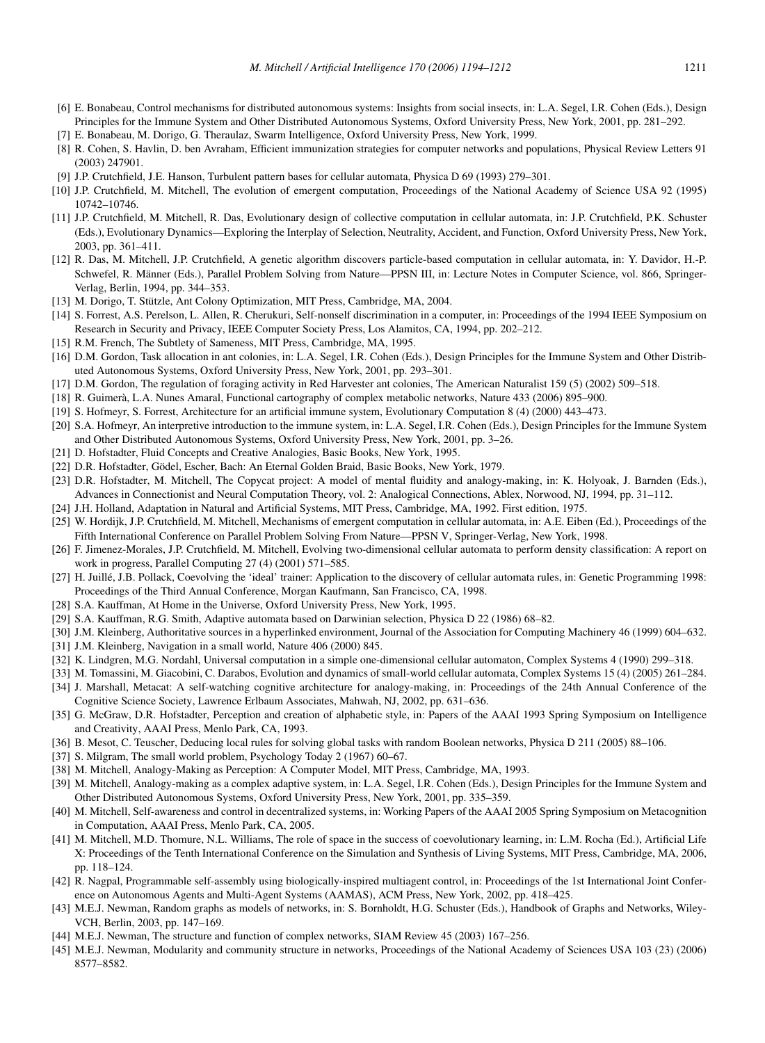- [6] E. Bonabeau, Control mechanisms for distributed autonomous systems: Insights from social insects, in: L.A. Segel, I.R. Cohen (Eds.), Design Principles for the Immune System and Other Distributed Autonomous Systems, Oxford University Press, New York, 2001, pp. 281–292.
- [7] E. Bonabeau, M. Dorigo, G. Theraulaz, Swarm Intelligence, Oxford University Press, New York, 1999.
- [8] R. Cohen, S. Havlin, D. ben Avraham, Efficient immunization strategies for computer networks and populations, Physical Review Letters 91 (2003) 247901.
- [9] J.P. Crutchfield, J.E. Hanson, Turbulent pattern bases for cellular automata, Physica D 69 (1993) 279–301.
- [10] J.P. Crutchfield, M. Mitchell, The evolution of emergent computation, Proceedings of the National Academy of Science USA 92 (1995) 10742–10746.
- [11] J.P. Crutchfield, M. Mitchell, R. Das, Evolutionary design of collective computation in cellular automata, in: J.P. Crutchfield, P.K. Schuster (Eds.), Evolutionary Dynamics—Exploring the Interplay of Selection, Neutrality, Accident, and Function, Oxford University Press, New York, 2003, pp. 361–411.
- [12] R. Das, M. Mitchell, J.P. Crutchfield, A genetic algorithm discovers particle-based computation in cellular automata, in: Y. Davidor, H.-P. Schwefel, R. Männer (Eds.), Parallel Problem Solving from Nature—PPSN III, in: Lecture Notes in Computer Science, vol. 866, Springer-Verlag, Berlin, 1994, pp. 344–353.
- [13] M. Dorigo, T. Stützle, Ant Colony Optimization, MIT Press, Cambridge, MA, 2004.
- [14] S. Forrest, A.S. Perelson, L. Allen, R. Cherukuri, Self-nonself discrimination in a computer, in: Proceedings of the 1994 IEEE Symposium on Research in Security and Privacy, IEEE Computer Society Press, Los Alamitos, CA, 1994, pp. 202–212.
- [15] R.M. French, The Subtlety of Sameness, MIT Press, Cambridge, MA, 1995.
- [16] D.M. Gordon, Task allocation in ant colonies, in: L.A. Segel, I.R. Cohen (Eds.), Design Principles for the Immune System and Other Distributed Autonomous Systems, Oxford University Press, New York, 2001, pp. 293–301.
- [17] D.M. Gordon, The regulation of foraging activity in Red Harvester ant colonies, The American Naturalist 159 (5) (2002) 509–518.
- [18] R. Guimerà, L.A. Nunes Amaral, Functional cartography of complex metabolic networks, Nature 433 (2006) 895–900.
- [19] S. Hofmeyr, S. Forrest, Architecture for an artificial immune system, Evolutionary Computation 8 (4) (2000) 443–473.
- [20] S.A. Hofmeyr, An interpretive introduction to the immune system, in: L.A. Segel, I.R. Cohen (Eds.), Design Principles for the Immune System and Other Distributed Autonomous Systems, Oxford University Press, New York, 2001, pp. 3–26.
- [21] D. Hofstadter, Fluid Concepts and Creative Analogies, Basic Books, New York, 1995.
- [22] D.R. Hofstadter, Gödel, Escher, Bach: An Eternal Golden Braid, Basic Books, New York, 1979.
- [23] D.R. Hofstadter, M. Mitchell, The Copycat project: A model of mental fluidity and analogy-making, in: K. Holyoak, J. Barnden (Eds.), Advances in Connectionist and Neural Computation Theory, vol. 2: Analogical Connections, Ablex, Norwood, NJ, 1994, pp. 31–112.
- [24] J.H. Holland, Adaptation in Natural and Artificial Systems, MIT Press, Cambridge, MA, 1992. First edition, 1975.
- [25] W. Hordijk, J.P. Crutchfield, M. Mitchell, Mechanisms of emergent computation in cellular automata, in: A.E. Eiben (Ed.), Proceedings of the Fifth International Conference on Parallel Problem Solving From Nature—PPSN V, Springer-Verlag, New York, 1998.
- [26] F. Jimenez-Morales, J.P. Crutchfield, M. Mitchell, Evolving two-dimensional cellular automata to perform density classification: A report on work in progress, Parallel Computing 27 (4) (2001) 571–585.
- [27] H. Juillé, J.B. Pollack, Coevolving the 'ideal' trainer: Application to the discovery of cellular automata rules, in: Genetic Programming 1998: Proceedings of the Third Annual Conference, Morgan Kaufmann, San Francisco, CA, 1998.
- [28] S.A. Kauffman, At Home in the Universe, Oxford University Press, New York, 1995.
- [29] S.A. Kauffman, R.G. Smith, Adaptive automata based on Darwinian selection, Physica D 22 (1986) 68–82.
- [30] J.M. Kleinberg, Authoritative sources in a hyperlinked environment, Journal of the Association for Computing Machinery 46 (1999) 604–632.
- [31] J.M. Kleinberg, Navigation in a small world, Nature 406 (2000) 845.
- [32] K. Lindgren, M.G. Nordahl, Universal computation in a simple one-dimensional cellular automaton, Complex Systems 4 (1990) 299–318.
- [33] M. Tomassini, M. Giacobini, C. Darabos, Evolution and dynamics of small-world cellular automata, Complex Systems 15 (4) (2005) 261–284.
- [34] J. Marshall, Metacat: A self-watching cognitive architecture for analogy-making, in: Proceedings of the 24th Annual Conference of the Cognitive Science Society, Lawrence Erlbaum Associates, Mahwah, NJ, 2002, pp. 631–636.
- [35] G. McGraw, D.R. Hofstadter, Perception and creation of alphabetic style, in: Papers of the AAAI 1993 Spring Symposium on Intelligence and Creativity, AAAI Press, Menlo Park, CA, 1993.
- [36] B. Mesot, C. Teuscher, Deducing local rules for solving global tasks with random Boolean networks, Physica D 211 (2005) 88–106.
- [37] S. Milgram, The small world problem, Psychology Today 2 (1967) 60–67.
- [38] M. Mitchell, Analogy-Making as Perception: A Computer Model, MIT Press, Cambridge, MA, 1993.
- [39] M. Mitchell, Analogy-making as a complex adaptive system, in: L.A. Segel, I.R. Cohen (Eds.), Design Principles for the Immune System and Other Distributed Autonomous Systems, Oxford University Press, New York, 2001, pp. 335–359.
- [40] M. Mitchell, Self-awareness and control in decentralized systems, in: Working Papers of the AAAI 2005 Spring Symposium on Metacognition in Computation, AAAI Press, Menlo Park, CA, 2005.
- [41] M. Mitchell, M.D. Thomure, N.L. Williams, The role of space in the success of coevolutionary learning, in: L.M. Rocha (Ed.), Artificial Life X: Proceedings of the Tenth International Conference on the Simulation and Synthesis of Living Systems, MIT Press, Cambridge, MA, 2006, pp. 118–124.
- [42] R. Nagpal, Programmable self-assembly using biologically-inspired multiagent control, in: Proceedings of the 1st International Joint Conference on Autonomous Agents and Multi-Agent Systems (AAMAS), ACM Press, New York, 2002, pp. 418–425.
- [43] M.E.J. Newman, Random graphs as models of networks, in: S. Bornholdt, H.G. Schuster (Eds.), Handbook of Graphs and Networks, Wiley-VCH, Berlin, 2003, pp. 147–169.
- [44] M.E.J. Newman, The structure and function of complex networks, SIAM Review 45 (2003) 167–256.
- [45] M.E.J. Newman, Modularity and community structure in networks, Proceedings of the National Academy of Sciences USA 103 (23) (2006) 8577–8582.